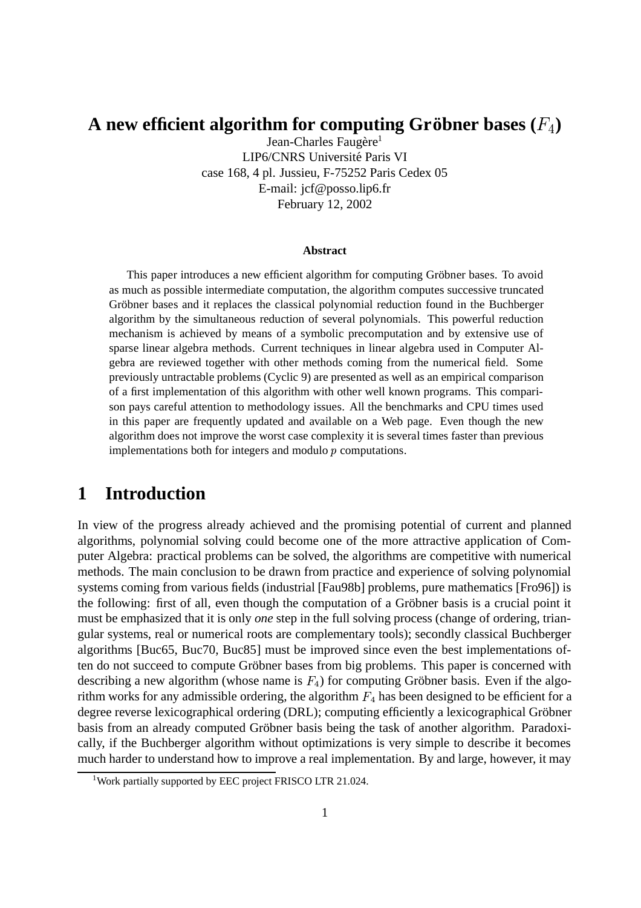# ${\bf A}$  new efficient algorithm for computing Gröbner bases  $(F_4)$

Jean-Charles Faugère<sup>1</sup> LIP6/CNRS Université Paris VI case 168, 4 pl. Jussieu, F-75252 Paris Cedex 05 E-mail: jcf@posso.lip6.fr February 12, 2002

#### **Abstract**

This paper introduces a new efficient algorithm for computing Gröbner bases. To avoid as much as possible intermediate computation, the algorithm computes successive truncated Gröbner bases and it replaces the classical polynomial reduction found in the Buchberger algorithm by the simultaneous reduction of several polynomials. This powerful reduction mechanism is achieved by means of a symbolic precomputation and by extensive use of sparse linear algebra methods. Current techniques in linear algebra used in Computer Algebra are reviewed together with other methods coming from the numerical field. Some previously untractable problems (Cyclic 9) are presented as well as an empirical comparison of a first implementation of this algorithm with other well known programs. This comparison pays careful attention to methodology issues. All the benchmarks and CPU times used in this paper are frequently updated and available on a Web page. Even though the new algorithm does not improve the worst case complexity it is several times faster than previous implementations both for integers and modulo  $p$  computations.

# **1 Introduction**

In view of the progress already achieved and the promising potential of current and planned algorithms, polynomial solving could become one of the more attractive application of Computer Algebra: practical problems can be solved, the algorithms are competitive with numerical methods. The main conclusion to be drawn from practice and experience of solving polynomial systems coming from various fields (industrial [Fau98b] problems, pure mathematics [Fro96]) is the following: first of all, even though the computation of a Gröbner basis is a crucial point it must be emphasized that it is only *one* step in the full solving process (change of ordering, triangular systems, real or numerical roots are complementary tools); secondly classical Buchberger algorithms [Buc65, Buc70, Buc85] must be improved since even the best implementations often do not succeed to compute Gröbner bases from big problems. This paper is concerned with describing a new algorithm (whose name is  $F_4$ ) for computing Gröbner basis. Even if the algorithm works for any admissible ordering, the algorithm  $F_4$  has been designed to be efficient for a degree reverse lexicographical ordering (DRL); computing efficiently a lexicographical Gröbner basis from an already computed Gröbner basis being the task of another algorithm. Paradoxically, if the Buchberger algorithm without optimizations is very simple to describe it becomes much harder to understand how to improve a real implementation. By and large, however, it may

<sup>&</sup>lt;sup>1</sup>Work partially supported by EEC project FRISCO LTR 21.024.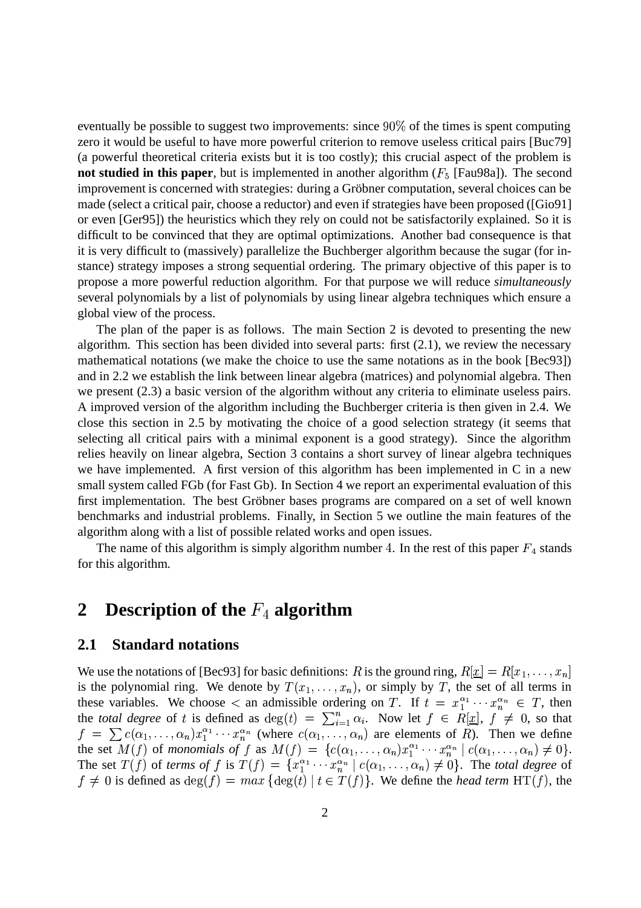eventually be possible to suggest two improvements: since  $90\%$  of the times is spent computing zero it would be useful to have more powerful criterion to remove useless critical pairs [Buc79] (a powerful theoretical criteria exists but it is too costly); this crucial aspect of the problem is **not studied in this paper**, but is implemented in another algorithm  $(F_5$  [Fau98a]). The second improvement is concerned with strategies: during a Gröbner computation, several choices can be made (select a critical pair, choose a reductor) and even if strategies have been proposed ([Gio91] or even [Ger95]) the heuristics which they rely on could not be satisfactorily explained. So it is difficult to be convinced that they are optimal optimizations. Another bad consequence is that it is very difficult to (massively) parallelize the Buchberger algorithm because the sugar (for instance) strategy imposes a strong sequential ordering. The primary objective of this paper is to propose a more powerful reduction algorithm. For that purpose we will reduce *simultaneously* several polynomials by a list of polynomials by using linear algebra techniques which ensure a global view of the process.

The plan of the paper is as follows. The main Section 2 is devoted to presenting the new algorithm. This section has been divided into several parts: first (2.1), we review the necessary mathematical notations (we make the choice to use the same notations as in the book [Bec93]) and in 2.2 we establish the link between linear algebra (matrices) and polynomial algebra. Then we present (2.3) a basic version of the algorithm without any criteria to eliminate useless pairs. A improved version of the algorithm including the Buchberger criteria is then given in 2.4. We close this section in 2.5 by motivating the choice of a good selection strategy (it seems that selecting all critical pairs with a minimal exponent is a good strategy). Since the algorithm relies heavily on linear algebra, Section 3 contains a short survey of linear algebra techniques we have implemented. A first version of this algorithm has been implemented in C in a new small system called FGb (for Fast Gb). In Section 4 we report an experimental evaluation of this first implementation. The best Gröbner bases programs are compared on a set of well known benchmarks and industrial problems. Finally, in Section 5 we outline the main features of the algorithm along with a list of possible related works and open issues.

The name of this algorithm is simply algorithm number 4. In the rest of this paper  $F_4$  stands for this algorithm.

# **2** Description of the  $F_4$  algorithm

#### **2.1 Standard notations**

We use the notations of [Bec93] for basic definitions: R is the ground ring,  $R[\underline{x}] = R[x_1, \ldots, x_n]$ is the polynomial ring. We denote by  $T(x_1, \ldots, x_n)$ , or simply by T, the set of all terms in these variables. We choose  $\lt$  an admissible ordering on T. If  $t = x_1^{\alpha_1} \cdots x_n^{\alpha_n} \in T$ , then the *total degree* of t is defined as  $deg(t) = \sum_{i=1}^{n} \alpha_i$ . Now let  $f \in R[\underline{x}]$ ,  $f \neq 0$ , so that  $f = \sum c(\alpha_1, \ldots, \alpha_n) x_1^{\alpha_1} \cdots x_n^{\alpha_n}$  (where  $c(\alpha_1, \ldots, \alpha_n)$  are elements of R). Then we define the set  $M(f)$  of *monomials of* f as  $M(f) = \{c(\alpha_1, \ldots, \alpha_n)x_1^{\alpha_1} \cdots x_n^{\alpha_n} \mid c(\alpha_1, \ldots, \alpha_n) \neq 0\}.$ The set  $T(f)$  of *terms of* f is  $T(f) = \{x_1^{\alpha_1} \cdots x_n^{\alpha_n} \mid c(\alpha_1, \ldots, \alpha_n) \neq 0\}$ . The *total degree* of  $f \neq 0$  is defined as  $deg(f) = max \{ deg(t) | t \in T(f) \}$ . We define the *head term* HT(f), the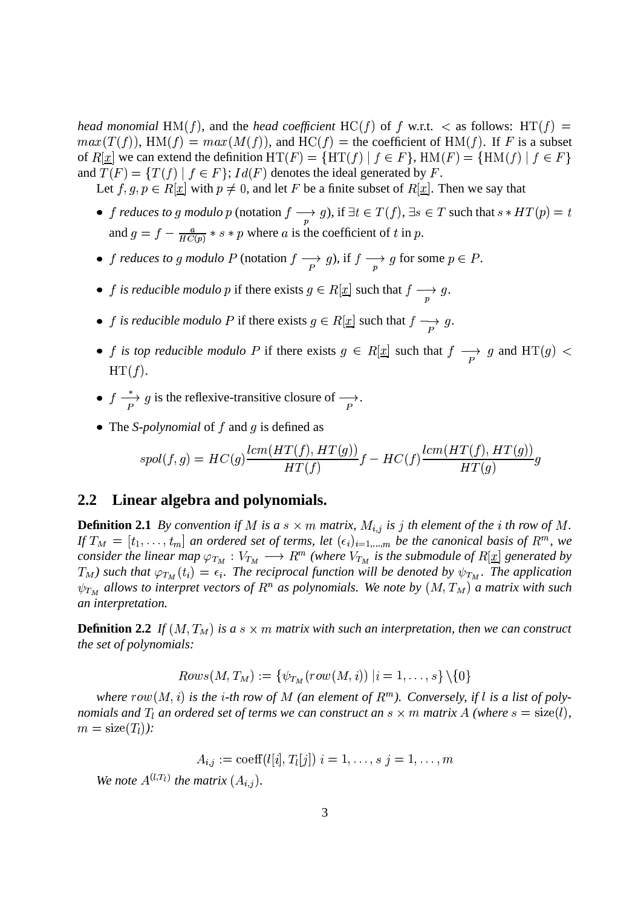*head monomial*  $HM(f)$ , and the *head coefficient*  $HC(f)$  of f w.r.t.  $\lt$  as follows:  $HT(f)$  =  $max(T(f))$ ,  $HM(f) = max(M(f))$ , and  $HC(f) =$  the coefficient of  $HM(f)$ . If F is a subset of  $R[\underline{x}]$  we can extend the definition  $HT(F) = \{HT(f) | f \in F\}$ ,  $HM(F) = \{HM(f) | f \in F\}$ and  $T(F) = \{T(f) | f \in F\}$ ;  $Id(F)$  denotes the ideal generated by F.

Let  $f, g, p \in R[\underline{x}]$  with  $p \neq 0$ , and let F be a finite subset of  $R[\underline{x}]$ . Then we say that

- *f reduces to g modulo p* (notation  $f \longrightarrow g$ ), if  $\exists t \in T(f)$ ,  $\exists$ g), if  $\exists t \in T(f)$ ,  $\exists s \in T$  such that  $s * HT(p) = t$ and  $g = f - \frac{a}{H C(n)} * s * p$  where a is the coefficient of t in p.
- *f reduces to g modulo* P (notation  $f \rightarrow g$ ), if  $f \rightarrow g$  for some  $p \in P$ . g for some  $p \in P$ .
- *f* is reducible modulo *p* if there exists  $g \in R[\underline{x}]$  such that  $f \rightarrow g$ .  $g$ .
- *f is reducible modulo* P if there exists  $g \in R[\underline{x}]$  such that  $f \longrightarrow g$ .
- *f* is top reducible modulo P if there exists  $g \in R[\underline{x}]$  such that  $f \rightarrow$  g and  $HT(g)$  <  $HT(f).$
- $f \stackrel{*}{\longrightarrow} g$  is the reflexive-transitive closure of  $\longrightarrow$ .
- The *S-polynomial* of  $f$  and  $g$  is defined as

$$
spol(f,g) = HC(g)\frac{lcm(HT(f),HT(g))}{HT(f)}f - HC(f)\frac{lcm(HT(f),HT(g))}{HT(g)}g
$$

### **2.2 Linear algebra and polynomials.**

**Definition 2.1** By convention if M is a  $s \times m$  matrix,  $M_{i,j}$  is j th element of the *i* th row of M. If  $T_M = [t_1, \ldots, t_m]$  an ordered set of terms, let  $(\epsilon_i)_{i=1,\ldots,m}$  be the canonical basis of  $R^m$ , we *consider the linear map*  $\varphi_{T_M}: V_{T_M} \longrightarrow R^m$  (where  $V_{T_M}$  is the submodule of  $R[\underline{x}]$  generated by  $T_M$ ) such that  $\varphi_{T_M}(t_i) = \epsilon_i$ . The reciprocal function will be denoted by  $\psi_{T_M}$ . The application  $\psi_{T_M}$  allows to interpret vectors of  $R^n$  as polynomials. We note by  $(M, T_M)$  a matrix with such *an interpretation.*

**Definition 2.2** If  $(M, T_M)$  is a  $s \times m$  matrix with such an interpretation, then we can construct *the set of polynomials:*

$$
Rows(M, T_M) := \{ \psi_{T_M}(row(M, i)) \mid i = 1, \ldots, s \} \setminus \{0\}
$$

where  $row(M, i)$  is the *i*-th row of M (an element of  $R^m$ ). Conversely, if l is a list of polynomials and  $T_l$  an ordered set of terms we can construct an  $s \times m$  matrix  $A$  (where  $s = \text{size}(l)$ ,  $m = \text{size}(T_l)$ :

$$
A_{i,j} := \text{coeff}(l[i], T_i[j]) \; i = 1, \ldots, s \; j = 1, \ldots, m
$$

We note  $A^{(l,T_l)}$  the matrix  $(A_{i,j})$ .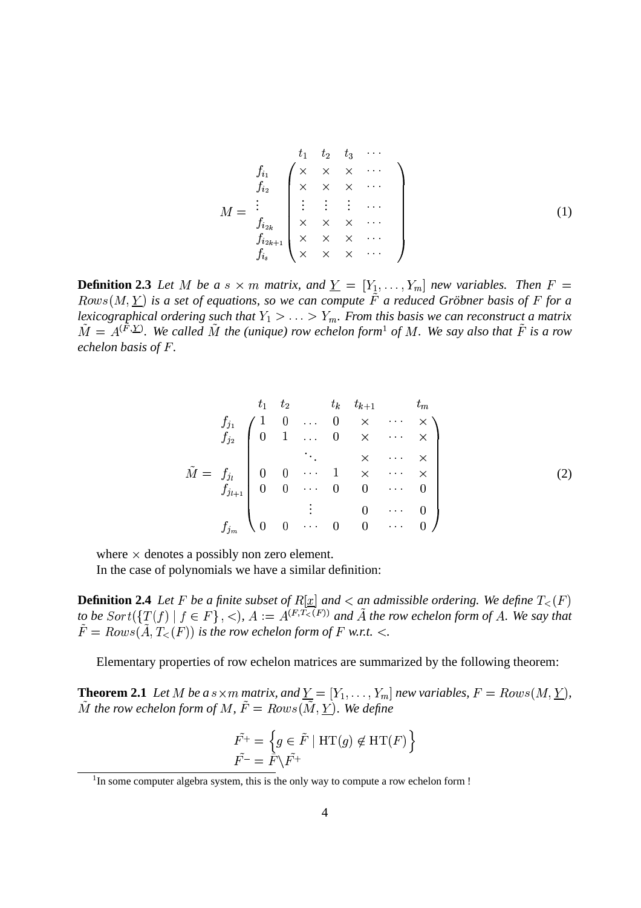$$
M = \begin{array}{c}\n t_1 & t_2 & t_3 & \cdots \\
 f_{i_1} & \times & \times & \times & \cdots \\
 f_{i_2} & \times & \times & \times & \cdots \\
 \vdots & \vdots & \vdots & \cdots \\
 f_{i_{2k}} & \times & \times & \times & \cdots \\
 f_{i_{s}} & \times & \times & \times & \cdots\n \end{array}
$$
\n(1)

**Definition 2.3** Let M be a s  $\times$  m matrix, and  $\underline{Y} = [Y_1, \ldots, Y_m]$  new variables. Then  $F =$  $Rows(M, Y)$  is a set of equations, so we can compute F a reduced Gröbner basis of F for a lexicographical ordering such that  $Y_1 > \ldots > Y_m$ . From this basis we can reconstruct a matrix  $M = A^{\prime +}$ . We call  $F(X, \Sigma)$ . We called  $\tilde{M}$  the (unique) row echelon form<sup>1</sup> of M. We say also that  $\tilde{F}$  is a row *echelon basis of F.* 

$$
\tilde{M} = f_{j_1} \begin{pmatrix} t_1 & t_2 & t_k & t_{k+1} & t_m \\ 1 & 0 & \cdots & 0 & \times & \cdots & \times \\ 0 & 1 & \cdots & 0 & \times & \cdots & \times \\ & & \ddots & & \times & \cdots & \times \\ 0 & 0 & \cdots & 1 & \times & \cdots & \times \\ 0 & 0 & \cdots & 0 & 0 & \cdots & 0 \\ & & \vdots & & 0 & \cdots & 0 \\ 0 & 0 & \cdots & 0 & 0 & \cdots & 0 \end{pmatrix}
$$
 (2)

where  $\times$  denotes a possibly non zero element.

In the case of polynomials we have a similar definition:

**Definition 2.4** Let F be a finite subset of  $R[\underline{x}]$  and  $\lt$  an admissible ordering. We define  $T_{\lt}$  (F) to be  $Sort({T(f) | f \in F}, <), A := A^{(F,T<(F))}$  and  $\tilde{A}$  the row echelon form of  $A$ . We say that  $F = Rows(A, T_{<}(F))$  is the row echelon form of F w.r.t. <.

Elementary properties of row echelon matrices are summarized by the following theorem:

**Theorem 2.1** Let M be a s $\times$ m matrix, and  $\underline{Y} = [Y_1, \ldots, Y_m]$  new variables,  $F = Rows(M, \underline{Y})$ ,  $M$  the row echelon form of  $M$ ,  $F = Rows(M, Y)$ . We define

$$
\tilde{F^+} = \left\{ g \in \tilde{F} \mid \text{HT}(g) \notin \text{HT}(F) \right\}
$$

$$
\tilde{F^-} = \tilde{F} \backslash \tilde{F^+}
$$

 $<sup>1</sup>$ In some computer algebra system, this is the only way to compute a row echelon form !</sup>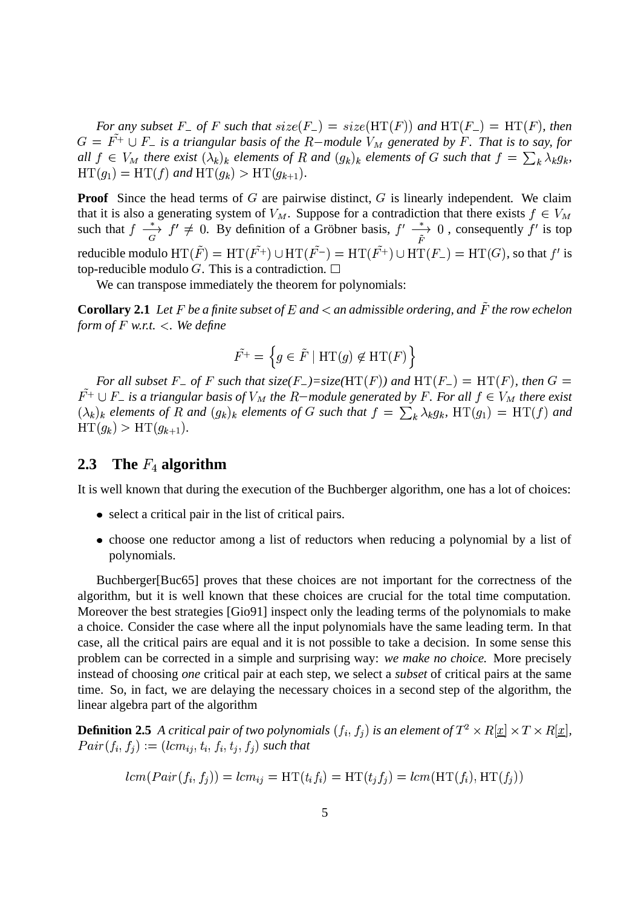For any subset F<sub>-</sub> of F such that  $size(F_{-}) = size(HT(F))$  and  $HT(F_{-}) = HT(F)$ , then  $G = F^+ \cup F_-$  is a triangular basis of the R-module  $V_M$  generated by F. That is to say, for all  $f \in V_M$  there exist  $(\lambda_k)_k$  elements of R and  $(g_k)_k$  elements of G such that  $f = \sum_k \lambda_k g_k$ ,  $HT(g_1) = HT(f)$  and  $HT(g_k) > HT(g_{k+1}).$ 

**Proof** Since the head terms of  $G$  are pairwise distinct,  $G$  is linearly independent. We claim that it is also a generating system of  $V_M$ . Suppose for a contradiction that there exists  $f \in V_M$ such that  $f \xrightarrow[\alpha]{*} f' \neq 0$ . By definition of a Gröbner basis,  $f' \xrightarrow[\alpha]{*} 0$ , consequently f' is top reducible modulo  $HT(F) = HT(F^+) \cup HT(F^-) = HT(F^+) \cup HT(F_-) = HT(G)$ , so that f' is top-reducible modulo G. This is a contradiction.  $\Box$ 

We can transpose immediately the theorem for polynomials:

**Corollary 2.1** Let  $F$  be a finite subset of  $E$  and  $\lt$  an admissible ordering, and  $\tilde{F}$  the row echelon *form of*  $F$  *w.r.t.*  $\lt$ *. We define* 

$$
\tilde{F^+} = \left\{ g \in \tilde{F} \mid \text{HT}(g) \notin \text{HT}(F) \right\}
$$

For all subset F<sub>-</sub> of F such that size(F<sub>-</sub>)=size( $HT(F)$ ) and  $HT(F_{-}) = HT(F)$ , then  $G =$  $F^+ \cup F_-$  is a triangular basis of  $V_M$  the R–module generated by F. For all  $f \in V_M$  there exist  $(\lambda_k)_k$  elements of R and  $(g_k)_k$  elements of G such that  $f = \sum_k \lambda_k g_k$ , HT $(g_1) = HT(f)$  and  $HT(g_k) > HT(g_{k+1}).$ 

## **2.3** The  $F_4$  algorithm

It is well known that during the execution of the Buchberger algorithm, one has a lot of choices:

- select a critical pair in the list of critical pairs.
- choose one reductor among a list of reductors when reducing a polynomial by a list of polynomials.

Buchberger[Buc65] proves that these choices are not important for the correctness of the algorithm, but it is well known that these choices are crucial for the total time computation. Moreover the best strategies [Gio91] inspect only the leading terms of the polynomials to make a choice. Consider the case where all the input polynomials have the same leading term. In that case, all the critical pairs are equal and it is not possible to take a decision. In some sense this problem can be corrected in a simple and surprising way: *we make no choice.* More precisely instead of choosing *one* critical pair at each step, we select a *subset* of critical pairs at the same time. So, in fact, we are delaying the necessary choices in a second step of the algorithm, the linear algebra part of the algorithm

**Definition 2.5** A critical pair of two polynomials  $(f_i,f_j)$  is an element of  $T^2\times R[\underline{x}]\times T\times R[\underline{x}],$  $Pair(f_i, f_j) := (lcm_{ij}, t_i, f_i, t_j, f_j)$  such that

$$
lcm(Pair(f_i, f_i)) = lcm_{ij} = HT(t_i f_i) = HT(t_j f_j) = lcm(HT(f_i), HT(f_i))
$$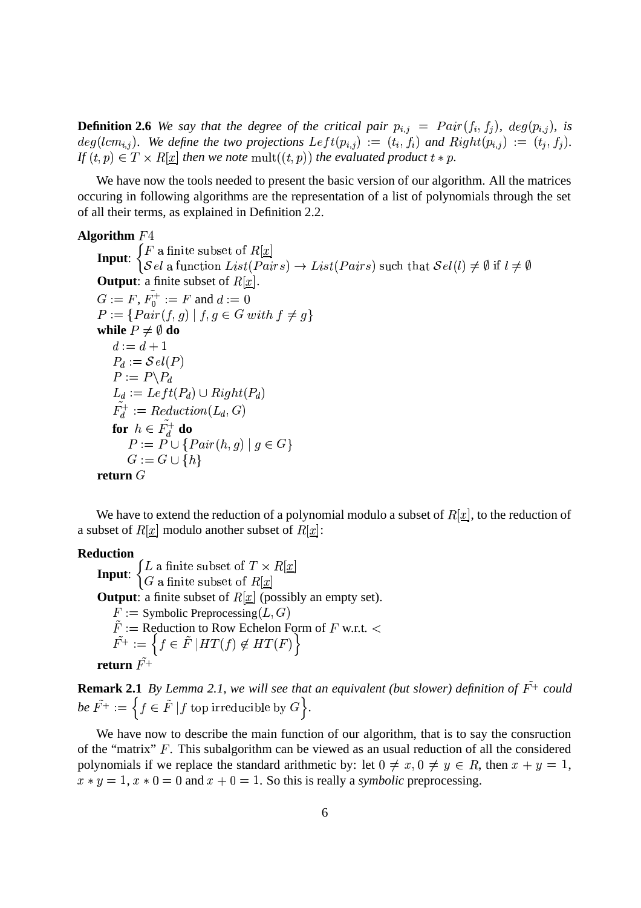**Definition 2.6** We say that the degree of the critical pair  $p_{i,j} = Pair(f_i, f_j)$ ,  $deg(p_{i,j})$ , is  $deg(lcm_{i,j})$ . We define the two projections  $Left(p_{i,j}) := (t_i, f_i)$  and  $Right(p_{i,j}) := (t_j, f_j)$ . If  $(t, p) \in T \times R[\underline{x}]$  then we note  $\text{mult}((t, p))$  the evaluated product  $t * p$ .

We have now the tools needed to present the basic version of our algorithm. All the matrices occuring in following algorithms are the representation of a list of polynomials through the set of all their terms, as explained in Definition 2.2.

#### **Algorithm**

**Input:**  $\begin{cases} F \text{ a finite subset of } R[\underline{x}] \\ S \text{ a function } I \text{ is } t(P_0; \underline{x}) \end{cases}$ a function  $List(Pairs) \rightarrow List(Pairs)$  such that  $Sel(l) \neq \emptyset$  if  $l \neq \emptyset$ **Output**: a finite subset of  $R[\underline{x}]$ .  $G := F, F_0^+ := F$  and  $d := 0$  $P := \{Pair(f, q) \mid f, q \in G \text{ with } f \neq q \}$ while  $P\neq\emptyset$  do  $a := a + 1$  $P_d := \mathcal{S}el(P)$ The contract of the contract of the contract of the contract of the contract of the contract of the contract of  $P := P \backslash P_d$  $L_d := Let$  i i  $P_d$ )  $\cup$   $R$ i  $q$ nt $(P_d)$  $F_d^+ := \text{Reduction}(L_d, G)$ The contract of the contract of the contract of the contract of the contract of the contract of the contract of for  $h \in F_d^+$  do  $P := P \cup \{Pair(h, a) \mid a \in G\}$ *Service Communication and Communication and Communication and Communication and Communication and Communication and Communication and Communication and Communication and Communication and Communication and Communication*  $G := G \cup \{h\}$  $\blacksquare$  . The set of the set of the set of the set of the set of the set of the set of the set of the set of the set of the set of the set of the set of the set of the set of the set of the set of the set of the set of the  $r$ **eturn**  $G$ 

We have to extend the reduction of a polynomial modulo a subset of  $R[\underline{x}]$ , to the reduction of a subset of  $R[\underline{x}]$  modulo another subset of  $R[\underline{x}]$ :

#### **Reduction**

**Input:**  $\begin{cases} L \text{ a finite subset of } T \times R[\underline{x}] \\ G \text{ a finite subset of } R[x] \end{cases}$ **Output**: a finite subset of  $R[\underline{x}]$  (possibly an empty set).  $F :=$  Symbolic Preprocessing  $(L, G)$  $\mathbf{r}$  and  $\mathbf{r}$  and  $\mathbf{r}$  and  $\mathbf{r}$  and  $\mathbf{r}$  $F :=$  Reduction to Row Echelon Form of F w.r.t.  $\lt$  $F^+ := \{ f \in F \mid H I(f) \notin H I(F) \}$ **return**  $\tilde{F^+}$ 

**Remark 2.1** By Lemma 2.1, we will see that an equivalent (but slower) definition of  $F^+$  could be  $F^+ := \{ f \in F \mid f \text{ top irreducible by } G \}.$ 

We have now to describe the main function of our algorithm, that is to say the consruction of the "matrix"  $\overline{F}$ . This subalgorithm can be viewed as an usual reduction of all the considered polynomials if we replace the standard arithmetic by: let  $0 \neq x, 0 \neq y \in R$ , then  $x + y = 1$ ,  $x * y = 1$ ,  $x * 0 = 0$  and  $x + 0 = 1$ . So this is really a *symbolic* preprocessing.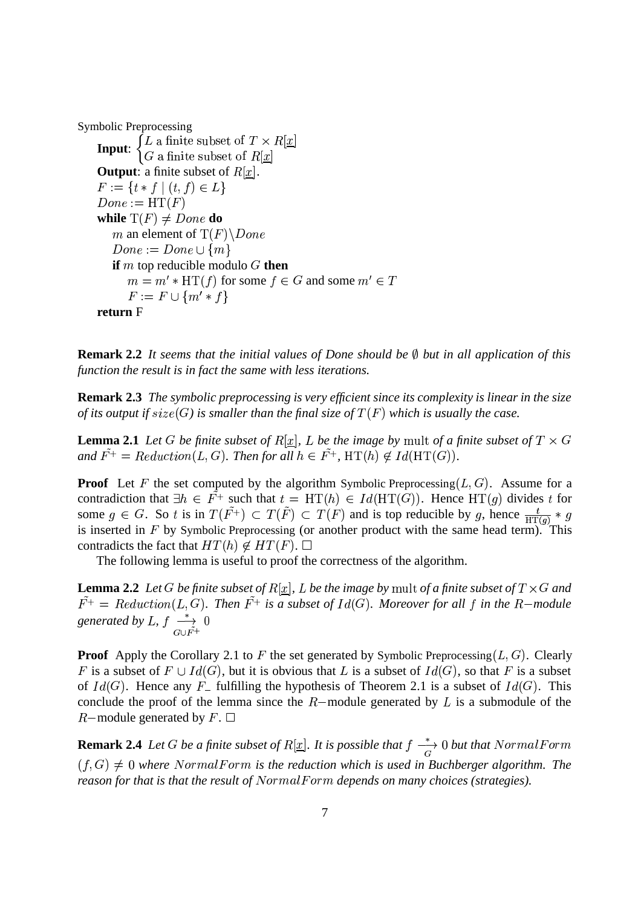Symbolic Preprocessing

**Input:**  $\begin{cases} L \text{ a finite subset of } T \times R[\underline{x}] \\ G \text{ a finite subset of } R[x] \end{cases}$ **Output**: a finite subset of  $R[\underline{x}]$ .  $F := \{ t * t \mid (t, t) \in L \}$  $Done := \operatorname{HT}(F)$  $\mathbf{r}$  and  $\mathbf{r}$  and  $\mathbf{r}$  and  $\mathbf{r}$ while  $\mathrm{T}(F) \neq \textit{Done}$  do m an element of  $T(F) \backslash Done$  $Done := Done \cup \{m\}$ **if**  $m$  top reducible modulo  $G$  **then**  $m = m' * HT(f)$  for some  $f \in G$  and some  $m' \in T$  $r := r \cup m * r$ **return** F

**Remark 2.2** *It seems that the initial values of Done should be but in all application of this function the result is in fact the same with less iterations.*

**Remark 2.3** *The symbolic preprocessing is very efficient since its complexity is linear in the size* of its output if  $size(G)$  is smaller than the final size of  $T(F)$  which is usually the case.

**Lemma 2.1** Let G be finite subset of  $R[\underline{x}]$ , L be the image by mult of a finite subset of  $T \times G$ and  $F^+$  = Reduction(L, G). Then for all  $h \in F^+$ ,  $HT(h) \notin Id(HT(G))$ .

**Proof** Let F the set computed by the algorithm Symbolic Preprocessing  $(L, G)$ . Assume for a contradiction that  $\exists h \in F^+$  such that  $t = HT(h) \in Id(HT(G))$ . Hence  $HT(g)$  divides t for some  $g \in G$ . So t is in  $T(F^+) \subset T(F) \subset T(F)$  and is top reducible by g, hence  $\frac{t}{HT(a)} * g$ is inserted in  $F$  by Symbolic Preprocessing (or another product with the same head term). This contradicts the fact that  $HT(h) \notin HT(F)$ .  $\Box$ 

The following lemma is useful to proof the correctness of the algorithm.

**Lemma 2.2** Let G be finite subset of  $R[\underline{x}]$ , L be the image by mult of a finite subset of  $T \times G$  and  $F^+ = \text{Reduction}(L, G)$ . Then  $F^+$  is a subset of  $Id(G)$ . Moreover for all f in the R-module *generated by L, f*  $\rightarrow$  0

**Proof** Apply the Corollary 2.1 to F the set generated by Symbolic Preprocessing  $(L, G)$ . Clearly F is a subset of  $F \cup Id(G)$ , but it is obvious that L is a subset of  $Id(G)$ , so that F is a subset of  $Id(G)$ . Hence any  $F_{-}$  fulfilling the hypothesis of Theorem 2.1 is a subset of  $Id(G)$ . This conclude the proof of the lemma since the  $R$ -module generated by  $L$  is a submodule of the  $R$ -module generated by  $F$ .  $\Box$ 

**Remark 2.4** Let G be a finite subset of  $R[\underline{x}]$ . It is possible that  $f \stackrel{*}{\longrightarrow} 0$  but that Normal Form  $(f,G) \neq 0$  where NormalForm is the reduction which is used in Buchberger algorithm. The *reason for that is that the result of* NormalForm depends on many choices (strategies).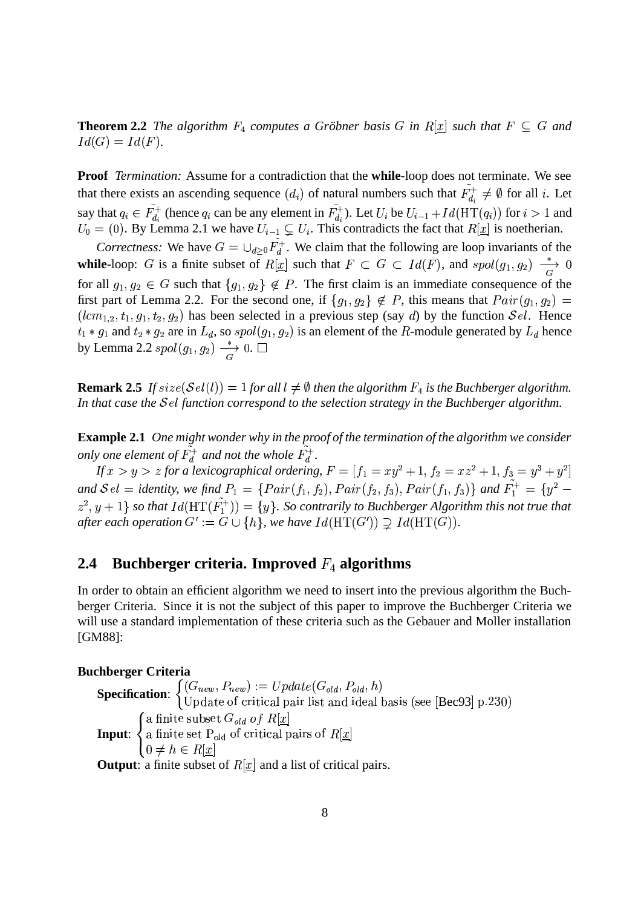**Theorem 2.2** The algorithm  $F_4$  computes a Gröbner basis G in  $R[\underline{x}]$  such that  $F \subseteq G$  and  $Id(G) = Id(F).$ 

**Proof** *Termination:* Assume for a contradiction that the **while**-loop does not terminate. We see that there exists an ascending sequence  $(d_i)$  of natural numbers such that  $F_{d_i}^+ \neq \emptyset$  for all i. Let say that  $q_i \in F_{d_i}^+$  (hence  $q_i$  can be any element in  $F_{d_i}^+$ ). Let  $U_i$  be  $U_{i-1}+Id(\mathrm{HT}$  $_1 + Id({\rm HT}(q_i))$  for  $i > 1$  and  $U_0=(0)$ . By Lemma 2.1 we have  $U_{i-1}\subsetneq U_i$ . Th  $I_1 \subsetneq U_i$ . This contradicts the fact that  $R[\underline{x}]$  is noetherian.

*Correctness:* We have  $G = \bigcup_{d>0} F_d^+$ . We claim that the following are loop invariants of the **while**-loop: G is a finite subset of  $R[\underline{x}]$  such that  $F \subset G \subset Id(F)$ , and  $spol(g_1, g_2) \longrightarrow 0$ for all  $g_1, g_2 \in G$  such that  $\{g_1, g_2\} \notin P$ . The first claim is an immediate consequence of the first part of Lemma 2.2. For the second one, if  $\{g_1, g_2\} \notin P$ , this means that  $Pair(g_1, g_2) =$  $(lcm_{1,2}, t_1, g_1, t_2, g_2)$  has been selected in a previous step (say d) by the function  $\mathcal{S}el$ . Hence  $t_1 * g_1$  and  $t_2 * g_2$  are in  $L_d$ , so  $spol(g_1, g_2)$  is an element of the R-module generated by  $L_d$  hence by Lemma 2.2  $spol(g_1, g_2) \longrightarrow 0.$   $\Box$ 

**Remark 2.5** If  $size(Sel(l)) = 1$  for all  $l \neq \emptyset$  then the algorithm  $F_4$  is the Buchberger algorithm. In that case the Sel function correspond to the selection strategy in the Buchberger algorithm.

**Example 2.1** *One might wonder why in the proof of the termination of the algorithm we consider only one element of*  $F_d^+$  *and not the whole*  $F_d^+$ .

If  $x>y>z$  for a lexicographical ordering,  $F=[f_1=xy^2+1,f_2=xz^2+1,f_3=y^3+y^2]$ and  $\mathcal{S}el =$  identity, we find  $P_1 = \{Pair(f_1, f_2), Pair(f_2, f_3), Pair(f_1, f_3) \}$  and  $F_1^+ = \{y^2 \{z^2,y+1\}$  so that  $Id({\rm HT}(F_1^+))=\{y\}.$  So contrarily to Buchberger Algorithm this not true that after each operation  $G' := G \cup \{h\}$ , we have  $Id(\operatorname{HT}(G')) \supsetneq Id(\operatorname{HT}(G))$ .

## **2.4** Buchberger criteria. Improved  $F_4$  algorithms

In order to obtain an efficient algorithm we need to insert into the previous algorithm the Buchberger Criteria. Since it is not the subject of this paper to improve the Buchberger Criteria we will use a standard implementation of these criteria such as the Gebauer and Moller installation [GM88]:

#### **Buchberger Criteria**

**Specification:**  $\begin{cases} (G_{new}, P_{new}) := Update(G_{old}, P_{old}, h) \\ \text{Indated of critical point} \end{cases}$  $(d, P_{old}, R)$ . . . .  $(a, h)$ Update of critical pair list and ideal basis (see [Bec93] p.230)  $\mathbf{r}$  and  $\mathbf{r}$  and  $\mathbf{r}$  and  $\mathbf{r}$  and  $\mathbf{r}$ **Input**: the contract of the contract of the contract of the contract of the contract of the contract of the contract of  $\blacksquare$  . The contract of the contract of the contract of the contract of the contract of the contract of the contract of the contract of the contract of the contract of the contract of the contract of the contract of the a finite subset  $G_{old}$  of  $R[x]$ a finite set  $\mathbf{F}_{old}$  of critical pairs of  $\mathbf{R}[\mathbf{x}]$  $0 \neq h \in K[x]$ **Output**: a finite subset of  $R[x]$  and a list of critical pairs.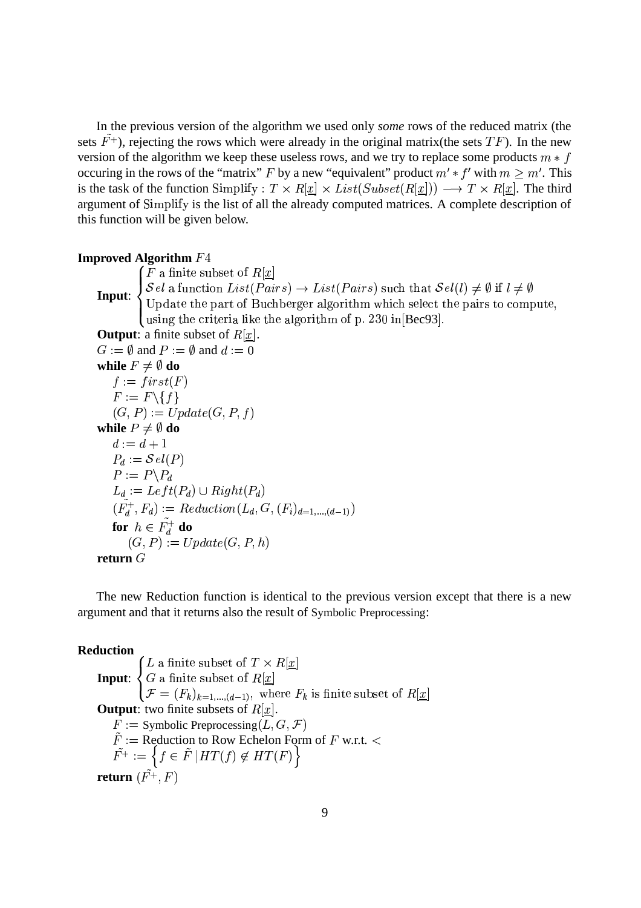In the previous version of the algorithm we used only *some* rows of the reduced matrix (the sets  $F^+$ ), rejecting the rows which were already in the original matrix(the sets  $TF$ ). In the new version of the algorithm we keep these useless rows, and we try to replace some products  $m * f$ occuring in the rows of the "matrix" F by a new "equivalent" product  $m' * f'$  with  $m \ge m'$ . This is the task of the function Simplify :  $T \times R[\underline{x}] \times List(Subset(R[\underline{x}])) \longrightarrow T \times R[\underline{x}]$ . The third argument of Simplify is the list of all the already computed matrices. A complete description of this function will be given below.

#### **Improved Algorithm**

**Input:**  $\begin{cases} \mathcal{S}el \text{ a function } L_3 \\ \text{If } \mathcal{S}el \text{ is the part.} \end{cases}$  $\int F$  a finite subset of  $R[x]$ I DE TORRES E ESTAD  $\mathcal{S}el$  a function  $List(Pairs) \rightarrow List(Pairs)$  such that  $\mathcal{S}el(l) \neq \emptyset$  if  $l \neq \emptyset$ <br>Update the part of Buchberger algorithm which select the pairs to compute, using the criteria like the algorithm of p.  $230$  in $\left[\text{Bec93}\right]$ . **Output**: a finite subset of  $R[\underline{x}]$ .  $G := \emptyset$  and  $P := \emptyset$  and  $d := 0$ while  $F\neq\emptyset$  do  $t := trst(F)$ The contract of the contract of the contract of the contract of the contract of the contract of the contract of  $F := F \setminus \{f\}$  $(G, P) := Update(G, P, f)$  $\mathbf{r}$  and  $\mathbf{r}$  and  $\mathbf{r}$  and  $\mathbf{r}$  and  $\mathbf{r}$ while  $P\neq\emptyset$  do  $a := a + 1$  $P_d := \mathcal{S}el(P)$ and the contract of the contract of the contract of the contract of the contract of the contract of the contract of the contract of the contract of the contract of the contract of the contract of the contract of the contra  $P := P \backslash P_d$  $L_d := \textit{Left}(P_d) \cup \textit{Right}(P_d)$  $U(P_d)$  $(F_d^+,F_d):=Reduction(L_d,G,(F_i)_{d=1,...,(d-1)})$  $\sim$  1 and 2008  $\sim$ for  $h \in F_d^+$  do  $(G, P) := Update(G, P, h)$  $r$ **eturn**  $G$ 

The new Reduction function is identical to the previous version except that there is a new argument and that it returns also the result of Symbolic Preprocessing:

#### **Reduction**

the contract of the contract of the contract of the contract of the contract of the contract of the contract of

**Input**:  $\blacksquare$  . The contract of the contract of the contract of the contract of the contract of the contract of the contract of the contract of the contract of the contract of the contract of the contract of the contract of the L a finite subset of  $I \times K[\underline{x}]$ <br>  $G$  a finite subset of  $R[\underline{x}]$ <br>  $\mathcal{F} = (F_k)_{k=1,\dots,(d-1)}$ , where  $F_k$  is finite:  $_1$ , where  $F_k$  is finite subset of  $R[x]$ **Output**: two finite subsets of  $R[\underline{x}]$ .  $F :=$  Symbolic Preprocessing  $(L, G, \mathcal{F})$  $F :=$  Reduction to Row Echelon Form of F w.r.t.  $\lt$  $F^+ := \{ f \in F \mid H I(f) \notin H I(F) \}$  ${\bf return}\,\left(F^+,F\right)$  $\mathbf{r}$  and  $\mathbf{r}$  and  $\mathbf{r}$  and  $\mathbf{r}$  and  $\mathbf{r}$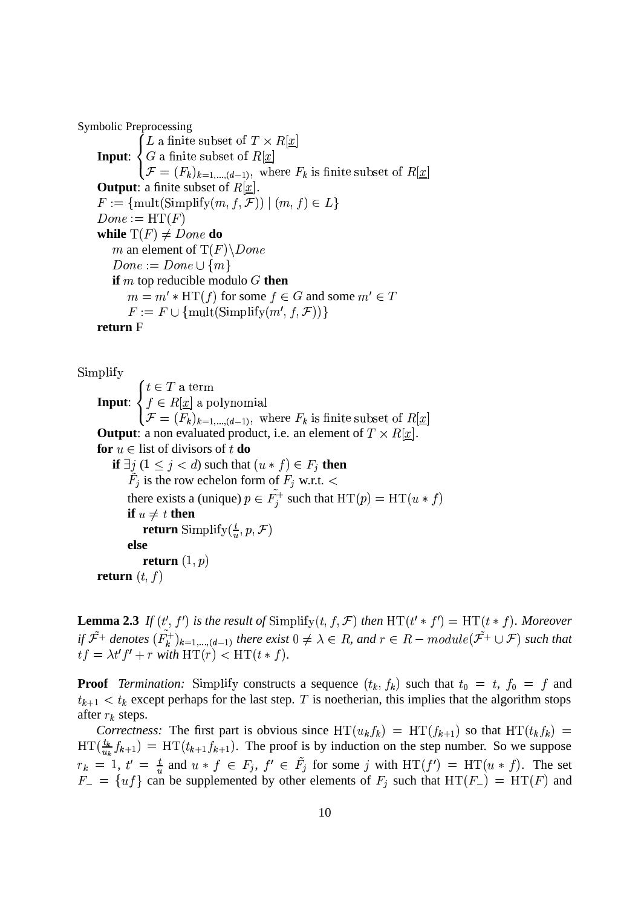Symbolic Preprocessing

**Input**: the contract of the contract of the contract of the contract of the contract of the contract of the contract of  $\blacksquare$  . The contract of the contract of the contract of the contract of the contract of the contract of the contract of the contract of the contract of the contract of the contract of the contract of the contract of the L a finite subset of  $I \times K[\underline{x}]$ <br>
G a finite subset of  $R[\underline{x}]$ <br>  $\mathcal{F} = (F_k)_{k=1,\dots,(d-1)},$  where  $F_k$  is finite:  $_1$ , where  $F_k$  is finite subset of  $R[x]$ **Output**: a finite subset of  $R[\underline{x}]$ .  $F := \{ \text{mult}(\text{Simplify}(m, f, \mathcal{F})) \mid (m, f) \in L \}$  $Done := \operatorname{HT}(F)$  $\mathbf{r}$  and  $\mathbf{r}$  and  $\mathbf{r}$  and  $\mathbf{r}$  and  $\mathbf{r}$ while  $\mathrm{T}(F) \neq Done$  do m an element of  $T(F) \backslash Done$  $Done := Done \cup \{m\}$ **if**  $m$  top reducible modulo  $G$  then  $m = m' * HT(f)$  for some  $f \in G$  and some  $m' \in T$  $F := F \cup \{\text{mult}(\text{Simplify}(m', f, \mathcal{F}))\}$  $\blacksquare$  . The set of the set of the set of the set of the set of the set of the set of the set of the set of the set of the set of the set of the set of the set of the set of the set of the set of the set of the set of the **return** F

 $\rm Simpility$ 1911 **DI** 

> **Input**: the contract of the contract of the contract of the contract of the contract of the contract of the contract of  $\blacksquare$  . The contract of the contract of the contract of the contract of the contract of the contract of the contract of the contract of the contract of the contract of the contract of the contract of the contract of the  $t \in T$  a term  $j \in R[\underline{x}]$  a polynomial  $\mathcal{F} = (F_k)_{k=1,\ldots,(d-1)},$  where  $F_k$  is fin  $_1$ , where  $F_k$  is finite subset of  $R[x]$ **Output**: a non evaluated product, i.e. an element of  $T \times R[\underline{x}]$ . **for**  $u \in$  list of divisors of  $t$  **do if**  $\exists j$   $(1 \leq j < d)$  such that  $(u * f) \in F_j$  **then**  $F_j$  is the row echelon form of  $F_j$  w.r.t. < there exists a (unique)  $p \in F_i^+$  such that  $HT(p) = HT(u * f)$  $\mathbf{r}$  and  $\mathbf{r}$  and  $\mathbf{r}$  and  $\mathbf{r}$  and  $\mathbf{r}$ **if**  $u \neq t$  **then return** Simplify $(\frac{t}{n}, p, \mathcal{F})$ **else**  ${\bf return}\;(1,p)$ **return**  $(t, f)$  $\mathbf{r}$  and  $\mathbf{r}$  and  $\mathbf{r}$  and  $\mathbf{r}$  and  $\mathbf{r}$

**Lemma 2.3** If  $(t', f')$  is the result of  $\text{Simplify}(t, f, \mathcal{F})$  then  $\text{HT}(t' * f') = \text{HT}(t * f)$ . Moreover *if*  $\mathcal{F}^+$  denotes  $(F_k^+)_{k=1,\dots,(d-1)}$  there exist 0  $a_1$  there exist  $0 \neq \lambda \in R$ , and  $r \in R-model$  module( $\mathcal{F}^+ \cup \mathcal{F}$ ) such that  $tf = \lambda t' f' + r$  with  $HT(r) < HT(t * f)$ .

**Proof** *Termination:* Simplify constructs a sequence  $(t_k, f_k)$  such that  $t_0 = t$ ,  $f_0 = f$  and  $t_{k+1} < t_k$  except perhaps for the last step. T is noetherian, this implies that the algorithm stops after  $r_k$  steps.

*Correctness:* The first part is obvious since  $HT(u_k f_k) = HT(f_{k+1})$  so that  $HT(t_k f_k) =$  $HT(\frac{t_k}{t_k}f_{k+1}) = HT(t_{k+1}f_{k+1})$ . The proof is by induction on the step number. So we suppose  $r_k = 1, t' = \frac{t}{u}$  and  $u * f \in F_i$ ,  $f' \in F_j$  for some j with  $HT(f') = HT(u * f)$ . The set  $F_- = \{uf\}$  can be supplemented by other elements of  $F_j$  such that  $HT(F_-) = HT($ .  $) = HT(F)$  and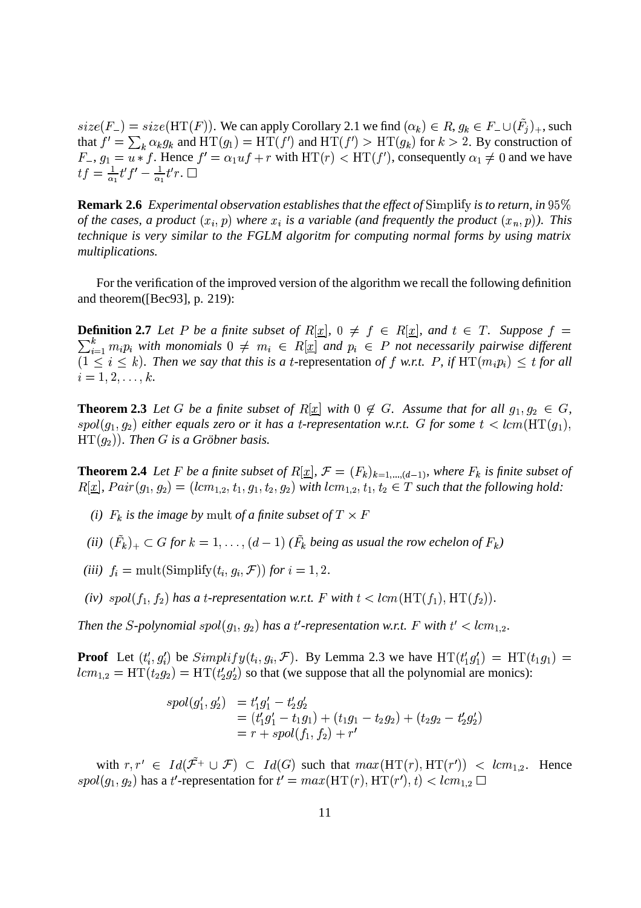$size(F_{-}) = size(\text{HT}(F))$ . We can apply Corollary 2.1 we find  $(\alpha_k) \in R$ ,  $g_k \in F_{-} \cup (F_j)_+$ , such that  $f' = \sum_k \alpha_k g_k$  and  $HT(g_1) = HT(f')$  and  $HT(f') > HT(g_k)$  for  $k > 2$ . By construction of  $F_-, g_1 = u * f$ . Hence  $f' = \alpha_1 u f + r$  with  $HT(r) < HT(f')$ , consequently  $\alpha_1 \neq 0$  and we have  $tf = \frac{1}{\alpha_1} t' f' - \frac{1}{\alpha_1} t' r$ .

**Remark 2.6** Experimental observation establishes that the effect of Simplify is to return, in 95% *of the cases, a product*  $(x_i, p)$  where  $x_i$  is a variable (and frequently the product  $(x_n, p)$ ). This *technique is very similar to the FGLM algoritm for computing normal forms by using matrix multiplications.*

For the verification of the improved version of the algorithm we recall the following definition and theorem([Bec93], p. 219):

**Definition 2.7** Let P be a finite subset of  $R[\underline{x}]$ ,  $0 \neq f \in R[\underline{x}]$ , and  $t \in T$ . Suppose  $f =$  $\sum_{i=1}^{\kappa} m_i p_i$  with monomials  $0 \neq m_i \in R[\underline{x}]$  and  $p_i \in P$  not necessarily pairwise different  $(1 \leq i \leq k)$ . Then we say that this is a t-representation of f w.r.t. P, if  $HT(m_i p_i) \leq t$  for all  $i = 1, 2, \ldots, k.$ 

**Theorem 2.3** Let G be a finite subset of  $R[\underline{x}]$  with  $0 \notin G$ . Assume that for all  $g_1, g_2 \in G$ ,  $spol(g_1, g_2)$  either equals zero or it has a *t*-representation w.r.t. G for some  $t < lcm(HT(g_1),$  $HT(g_2)$ ). Then G is a Gröbner basis.

**Theorem 2.4** Let F be a finite subset of  $R[\underline{x}]$ ,  $\mathcal{F} = (F_k)_{k=1,\dots,(d-1)}$ , where  $F_k$  is finite subset of  $R[\underline{x}]$ ,  $Pair(g_1, g_2) = (lcm_{1,2}, t_1, g_1, t_2, g_2)$  with  $lcm_{1,2}, t_1, t_2 \in T$  such that the following hold:

- *(i)*  $F_k$  is the image by mult of a finite subset of  $T \times F$
- (*ii*)  $(F_k)_+ \subset G$  for  $k = 1, \ldots, (d-1)$  ( $F_k$  being as usual the row echelon of  $F_k$ )
- (*iii*)  $f_i = \text{mult}(\text{Simplify}(t_i, g_i, \mathcal{F}))$  for  $i = 1, 2$ .
- *(iv)*  $spol(f_1, f_2)$  has a *t*-representation w.r.t. F with  $t < lcm(HT(f_1), HT(f_2))$ .

Then the S-polynomial spol $(g_1, g_2)$  has a t'-representation w.r.t. F with  $t' < lcm_{1,2}$ .

**Proof** Let  $(t'_i, g'_i)$  be  $Simplify(t_i, g_i, \mathcal{F})$ . By Lemma 2.3 we have  $HT(t'_1g'_1) = HT(t_1g_1)$  $lcm_{1,2} = HT(t_2g_2) = HT(t_2g_2')$  so that (we suppose that all the polynomial are monics):

$$
spol(g'_1, g'_2) = t'_1g'_1 - t'_2g'_2
$$
  
=  $(t'_1g'_1 - t_1g_1) + (t_1g_1 - t_2g_2) + (t_2g_2 - t'_2g'_2)$   
=  $r + spol(f_1, f_2) + r'$ 

with  $r, r' \in Id(\mathcal{F}^+ \cup \mathcal{F}) \subset Id(G)$  such that  $max(\text{HT}(r), \text{HT}(r')) < lcm_{1,2}$ . Hence  $spol(g_1, g_2)$  has a t'-representation for  $t' = max(\text{HT}(r), \text{HT}(r'), t) < lcm_{1,2} \square$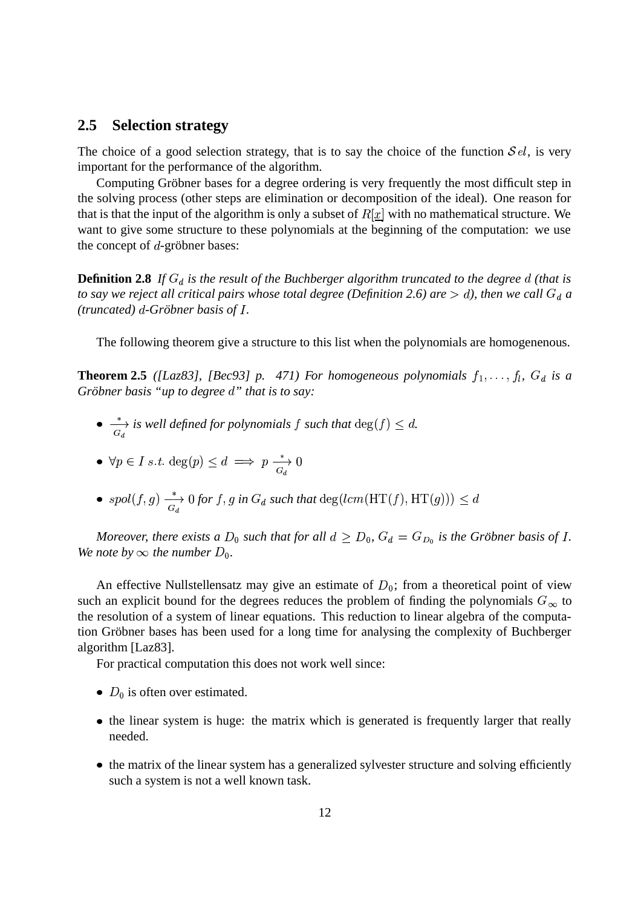### **2.5 Selection strategy**

The choice of a good selection strategy, that is to say the choice of the function  $\mathcal{S}el$ , is very important for the performance of the algorithm.

Computing Gröbner bases for a degree ordering is very frequently the most difficult step in the solving process (other steps are elimination or decomposition of the ideal). One reason for that is that the input of the algorithm is only a subset of  $R[\underline{x}]$  with no mathematical structure. We want to give some structure to these polynomials at the beginning of the computation: we use the concept of  $d$ -gröbner bases:

**Definition 2.8** If  $G_d$  is the result of the Buchberger algorithm truncated to the degree d (that is *to say we reject all critical pairs whose total degree (Definition 2.6) are*  $> d$ *), then we call*  $G_d$  *a*  $(truncated)$   $d$ -Gröbner basis of  $I$ . *.*

The following theorem give a structure to this list when the polynomials are homogenenous.

**Theorem 2.5** ([Laz83], [Bec93] p. 471) For homogeneous polynomials  $f_1, \ldots, f_l$ ,  $G_d$  is a *Gröbner basis "up to degree d" that is to say:* 

- $\rightarrow$  *is well defined for polynomials* f such that  $\deg(f) \leq d$ .
- $\bullet \ \ \forall p \in I \ s.t. \deg(p) \leq d \implies p \implies 0$
- $spol(f,g) \xrightarrow{\ast} 0$  for f, g in  $G_d$  such that  $\deg(lcm(HT(f), HT(g))) \leq d$

*Moreover, there exists a*  $D_0$  such that for all  $d \geq D_0$ ,  $G_d = G_{D_0}$  is the Gröbner basis of I *.* We note by  $\infty$  the number  $D_0$ .

An effective Nullstellensatz may give an estimate of  $D_0$ ; from a theoretical point of view such an explicit bound for the degrees reduces the problem of finding the polynomials  $G_{\infty}$  to the resolution of a system of linear equations. This reduction to linear algebra of the computation Gröbner bases has been used for a long time for analysing the complexity of Buchberger algorithm [Laz83].

For practical computation this does not work well since:

- $D_0$  is often over estimated.
- the linear system is huge: the matrix which is generated is frequently larger that really needed.
- the matrix of the linear system has a generalized sylvester structure and solving efficiently such a system is not a well known task.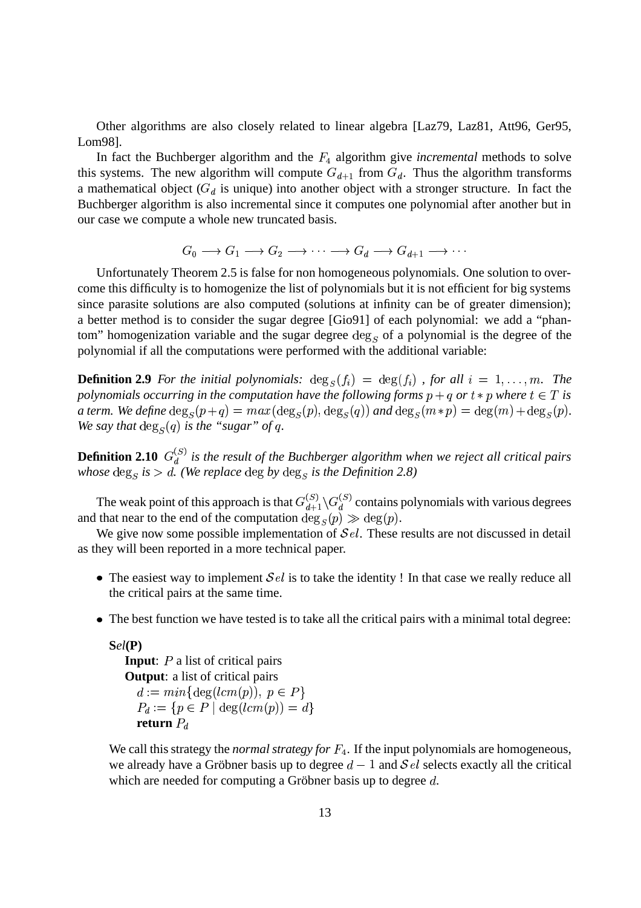Other algorithms are also closely related to linear algebra [Laz79, Laz81, Att96, Ger95, Lom98].

In fact the Buchberger algorithm and the  $F_4$  algorithm give *incremental* methods to solve this systems. The new algorithm will compute  $G_{d+1}$  from  $G_d$ .  $d_{d+1}$  from  $G_d$ . Thus the algorithm transforms a mathematical object ( $G_d$  is unique) into another object with a stronger structure. In fact the Buchberger algorithm is also incremental since it computes one polynomial after another but in our case we compute a whole new truncated basis.

$$
G_0 \longrightarrow G_1 \longrightarrow G_2 \longrightarrow \cdots \longrightarrow G_d \longrightarrow G_{d+1} \longrightarrow \cdots
$$

Unfortunately Theorem 2.5 is false for non homogeneous polynomials. One solution to overcome this difficulty is to homogenize the list of polynomials but it is not efficient for big systems since parasite solutions are also computed (solutions at infinity can be of greater dimension); a better method is to consider the sugar degree [Gio91] of each polynomial: we add a "phantom" homogenization variable and the sugar degree  $\deg_S$  of a polynomial is the degree of the polynomial if all the computations were performed with the additional variable:

**Definition 2.9** For the initial polynomials:  $deg_S(f_i) = deg(f_i)$ , for all  $i = 1, ..., m$ . The polynomials occurring in the computation have the following forms  $p + q$  or  $t * p$  where  $t \in T$  is *a term. We define*  $\deg_S(p+q) = max(\deg_S(p), \deg_S(q))$  and  $\deg_S(m*p) = \deg(m) + \deg_S(p)$ . We say that  $deg_S(q)$  is the "sugar" of q *.*

**Definition 2.10**  $G_d^{(S)}$  is the result of the Buchberger algorithm when we reject all critical pairs *whose*  $\deg_S$  *is*  $> d$ . (We replace  $\deg b$ y  $\deg_S$  *is the Definition* 2.8)

The weak point of this approach is that  $G_{d+1}^{(S)} \backslash G_d^{(S)}$  continuous  $\binom{S}{d+1}$   $G_d^{(S)}$  contains polynomials with various degrees and that near to the end of the computation  $\deg_S(p) \gg \deg(p)$ .

We give now some possible implementation of  $\mathcal{S}el$ . These results are not discussed in detail as they will been reported in a more technical paper.

- The easiest way to implement  $\mathcal{S}el$  is to take the identity ! In that case we really reduce all the critical pairs at the same time.
- The best function we have tested is to take all the critical pairs with a minimal total degree:

```
Sel(P)
  Input: P a list of critical pairs
  Output: a list of critical pairs
     a := mn_1 \deg(\ell cm(p)), \ p \in PP_d := \{ p \in P \mid \deg(lcm(p)) = d \}return P_d
```
We call this strategy the *normal strategy for*  $F_4$ . If the input polynomials are homogeneous, we already have a Gröbner basis up to degree  $d-1$  and  $\mathcal{S}el$  selects exactly all the critical which are needed for computing a Gröbner basis up to degree  $d$ .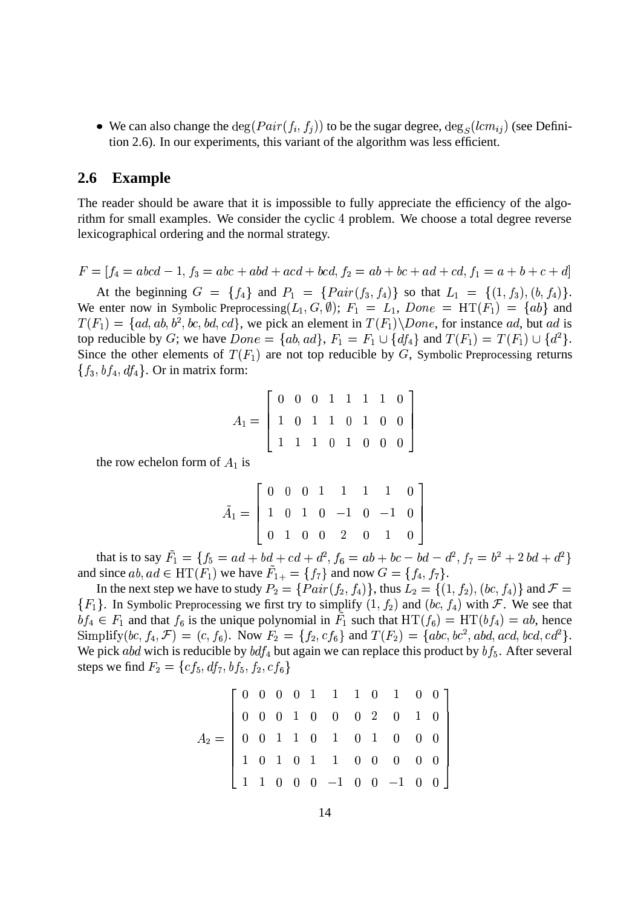• We can also change the  $\deg(Pair(f_i, f_j))$  to be the sugar degree,  $\deg_S(lcm_{ij})$  (see Definition 2.6). In our experiments, this variant of the algorithm was less efficient.

### **2.6 Example**

The reader should be aware that it is impossible to fully appreciate the efficiency of the algoexamples and the consider the cyclic 4 problem. We choose a total degree reverse lexicographical ordering and the normal strategy.

 $F = |f_4| = a b c d - 1, f_3 = a b c + a b d + a c d + b c d, f_2 = a b + b c + a d + c d, f_1 = a + b + c + d$ the contract of the contract of the contract of the contract of the contract of

At the beginning  $G = \{f_4\}$  and  $P_1 = \{Pair(f_3, f_4) \}$  so that  $L_1 = \{(1, f_3), (b, f_4) \}.$ We enter now in Symbolic Preprocessing  $(L_1, G, \emptyset)$ ;  $F_1 = L_1$ ,  $Done = HT(F_1) = \{ab\}$  and  $T(F_1) = \{ad, ab, b^2, bc, bd, cd\}$ , we pick an element in  $T(F_1) \setminus Done$ , for instance ad, but ad is top reducible by G; we have  $Done = \{ab, ad\}$ ,  $F_1 = F_1 \cup \{df_4\}$  and  $T(F_1) = T(F_1) \cup \{d^2\}$ . Since the other elements of  $T(F_1)$  are not top reducible by G, Symbolic Preprocessing returns  ${f_3, bf_4, df_4}$ . Or in matrix form:

$$
A_1=\left[\begin{array}{ccccccccc} 0 & 0 & 0 & 1 & 1 & 1 & 1 & 0 \\ 1 & 0 & 1 & 1 & 0 & 1 & 0 & 0 \\ 1 & 1 & 1 & 0 & 1 & 0 & 0 & 0 \end{array}\right]
$$

and the contract of the contract of the contract of the contract of the contract of the contract of the contract of the contract of the contract of the contract of the contract of the contract of the contract of the contra and the contract of the contract of the contract of the contract of the contract of the contract of the contract of the contract of the contract of the contract of the contract of the contract of the contract of the contra

the row echelon form of  $A_1$  is

$$
\tilde{A}_1=\left[\begin{array}{ccccccccc} 0 & 0 & 0 & 1 & 1 & 1 & 1 & 0 \\ 1 & 0 & 1 & 0 & -1 & 0 & -1 & 0 \\ 0 & 1 & 0 & 0 & 2 & 0 & 1 & 0 \end{array}\right]
$$

that is to say  $F_1 = \{f_5 = ad + bd + cd + d^2, f_6 = ab + bc - bd - d^2, f_7 = b^2 + 2 bd + d^2\}$ *Service Communication and Communication and Communication and Communication and Communication and Communication and Communication and Communication and Communication and Communication and Communication and Communication* and since  $ab$ ,  $ad \in HT(F_1)$  we have  $F_{1+} = \{f_7\}$  and now  $G = \{f_4, f_7\}$ .

In the next step we have to study  $P_2 = \{Pair(f_2, f_4)\},$  thus  $L_2 = \{(1, f_2), (bc, f_4)\}$  and  $\mathcal{F} =$  ${F_1}$ . In Symbolic Preprocessing we first try to simplify  $(1, f_2)$  and  $(bc, f_4)$  with F. We see that  $bf_4 \in F_1$  and that  $f_6$  is the unique polynomial in  $F_1$  such that  $HT(f_6) = HT(bf_4) = ab$ , hence Simplify  $(bc, f_4, \mathcal{F}) = (c, f_6)$ . Now  $F_2 = \{f_2, cf_6\}$  and  $T(F_2) = \{abc, bc^2, abd, acd, bcd, cd^2\}$ . We pick abd wich is reducible by  $bdf_4$  but again we can replace this product by  $bf_5$ . After several steps we find  $F_2 = \{cf_5, df_7, bf_5, f_2, cf_6\}$ 

$$
A_2 = \left[ \begin{array}{cccccccc} 0 & 0 & 0 & 0 & 1 & 1 & 1 & 0 & 1 & 0 & 0 \\ 0 & 0 & 0 & 1 & 0 & 0 & 0 & 2 & 0 & 1 & 0 \\ 0 & 0 & 1 & 1 & 0 & 1 & 0 & 1 & 0 & 0 & 0 \\ 1 & 0 & 1 & 0 & 1 & 1 & 0 & 0 & 0 & 0 & 0 \\ 1 & 1 & 0 & 0 & 0 & -1 & 0 & 0 & -1 & 0 & 0 \end{array} \right]
$$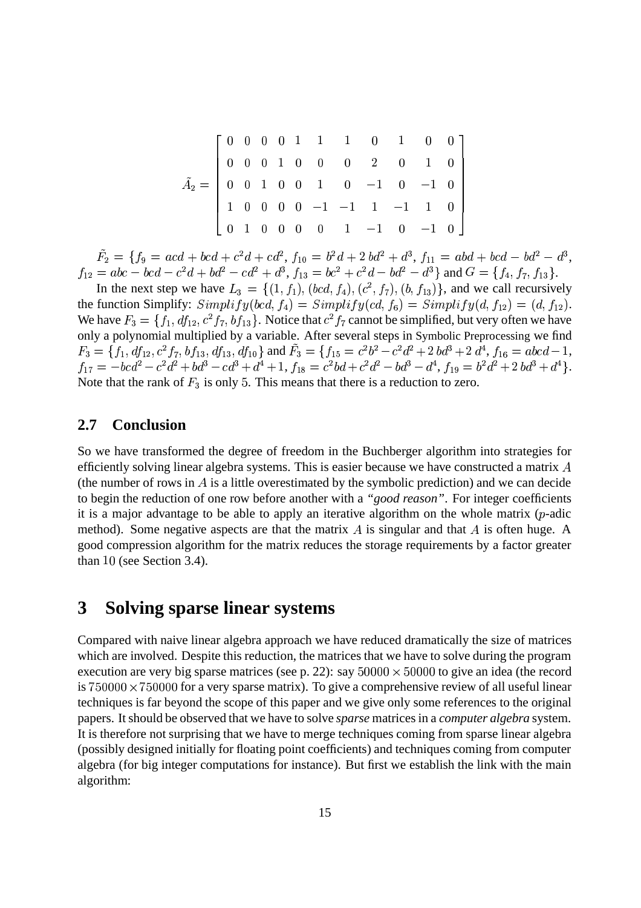| $\tilde{A}_2=\left[\begin{array}{cccccccc} 0&0&0&0&1&1&1&0&1&0&0\\ 0&0&0&1&0&0&0&2&0&1&0\\ 0&0&1&0&0&1&0&-1&0&-1&0\\ 1&0&0&0&0&-1&-1&1&-1&1&0 \end{array}\right]$ |          |  |  |  |                                       |  |  |
|-------------------------------------------------------------------------------------------------------------------------------------------------------------------|----------|--|--|--|---------------------------------------|--|--|
|                                                                                                                                                                   | $\theta$ |  |  |  | $0 \t0 \t0 \t0 \t1 \t-1 \t0 \t-1 \t0$ |  |  |

 $F_2 = \{f_9 = acd + bcd + c^2d + cd^2, f_{10} = b^2d + 2\,bd^2 + d^3, f_{11} = abd + bcd - bd^2 - d^3,$  $f_{12} = abc - bcd - c^2d + bd^2 - cd^2 + d^3$ ,  $f_{13} = bc^2 + c^2d - bd^2 - d^3$  and  $G = \{f_4, f_7, f_{13}\}$ .

In the next step we have  $L_3 = \{(1, f_1), (bcd, f_4), (c^2, f_7), (b, f_{13})\}$ , and we call recursively the function Simplify:  $Simplify(bcd, f_4) = Simplify(cd, f_6) = Simplify(d, f_{12}) = (d, f_{12}).$ We have  $F_3 = \{f_1, df_{12}, c^2f_7, bf_{13}\}\.$  Notice that  $c^2f_7$  cannot be simplified, but very often we have only a polynomial multiplied by a variable. After several steps in Symbolic Preprocessing we find  $F_3 = \{f_1, df_{12}, c^2 f_7, bf_{13}, df_{13}, df_{10}\}$  and  $F_3 = \{f_{15} = c^2 b^2 - c^2 d^2 + 2 bd^3 + 2 d^4, f_{16} = abcd - 1,$  $f_{17} = - bcd^2 - c^2d^2 + bd^3 - cd^3 + d^4 + 1, \, f_{18} = c^2bd + c^2d^2 - bd^3 - d^4, \, f_{19} = b^2d^2 + 2\,bd^3 + d^4\}.$ Note that the rank of  $F_3$  is only 5. This means that there is a reduction to zero.

### **2.7 Conclusion**

So we have transformed the degree of freedom in the Buchberger algorithm into strategies for efficiently solving linear algebra systems. This is easier because we have constructed a matrix  $A$ (the number of rows in  $\tilde{A}$  is a little overestimated by the symbolic prediction) and we can decide to begin the reduction of one row before another with a *"good reason"*. For integer coefficients it is a major advantage to be able to apply an iterative algorithm on the whole matrix  $(p\text{-adic})$ method). Some negative aspects are that the matrix  $A$  is singular and that  $A$  is often huge. A good compression algorithm for the matrix reduces the storage requirements by a factor greater than  $10$  (see Section 3.4).

# **3 Solving sparse linear systems**

Compared with naive linear algebra approach we have reduced dramatically the size of matrices which are involved. Despite this reduction, the matrices that we have to solve during the program execution are very big sparse matrices (see p. 22): say  $50000 \times 50000$  to give an idea (the record is  $750000 \times 750000$  for a very sparse matrix). To give a comprehensive review of all useful linear techniques is far beyond the scope of this paper and we give only some references to the original papers. It should be observed that we have to solve *sparse* matrices in a *computer algebra* system. It is therefore not surprising that we have to merge techniques coming from sparse linear algebra (possibly designed initially for floating point coefficients) and techniques coming from computer algebra (for big integer computations for instance). But first we establish the link with the main algorithm: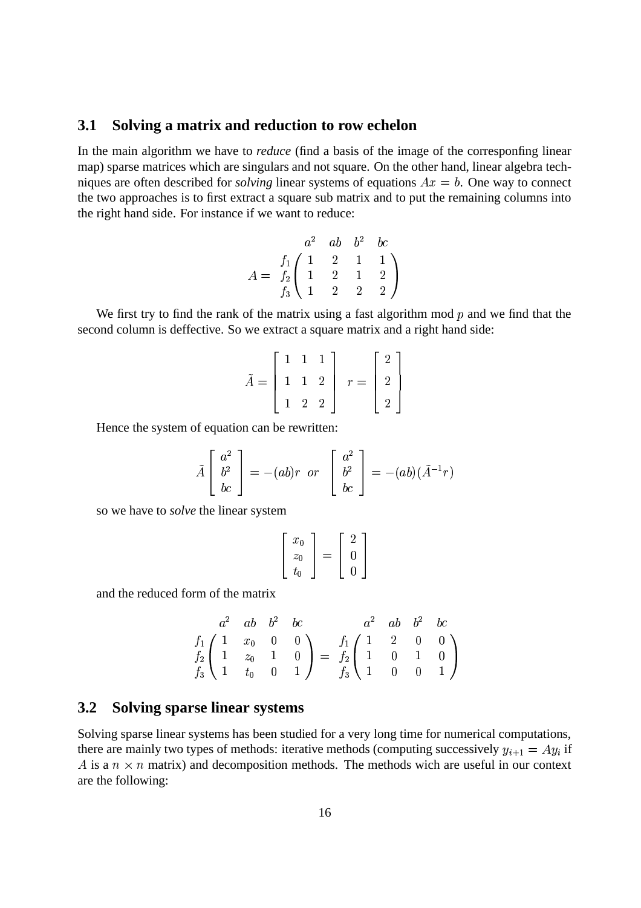### **3.1 Solving a matrix and reduction to row echelon**

In the main algorithm we have to *reduce* (find a basis of the image of the corresponfing linear map) sparse matrices which are singulars and not square. On the other hand, linear algebra techniques are often described for *solving* linear systems of equations  $Ax = b$ . One way to connect the two approaches is to first extract a square sub matrix and to put the remaining columns into the right hand side. For instance if we want to reduce:

$$
A = \begin{pmatrix} a^2 & ab & b^2 & bc \\ f_1 & 1 & 2 & 1 & 1 \\ f_2 & 1 & 2 & 1 & 2 \\ f_3 & 1 & 2 & 2 & 2 \end{pmatrix}
$$

We first try to find the rank of the matrix using a fast algorithm mod  $p$  and we find that the second column is deffective. So we extract a square matrix and a right hand side:

$$
\tilde{A} = \begin{bmatrix} 1 & 1 & 1 \\ 1 & 1 & 2 \\ 1 & 2 & 2 \end{bmatrix} \quad r = \begin{bmatrix} 2 \\ 2 \\ 2 \end{bmatrix}
$$

the contract of the contract of the contract of the contract of the contract of the contract of the contract of and the contract of the contract of the contract of the contract of the contract of the contract of the contract of the contract of the contract of the contract of the contract of the contract of the contract of the contra

Hence the system of equation can be rewritten:

$$
\tilde{A} \begin{bmatrix} a^2 \\ b^2 \\ bc \end{bmatrix} = -(ab)r \text{ or } \begin{bmatrix} a^2 \\ b^2 \\ bc \end{bmatrix} = -(ab)(\tilde{A}^{-1}r)
$$

so we have to *solve* the linear system

$$
\left[\begin{array}{c}x_0\\z_0\\t_0\end{array}\right]=\left[\begin{array}{c}2\\0\\0\end{array}\right]
$$

and the reduced form of the matrix

$$
\begin{array}{ccc}\n a^2 & ab & b^2 & bc \\
 f_1 \left( \begin{array}{cccc} 1 & x_0 & 0 & 0 \\
 1 & z_0 & 1 & 0 \\
 f_3 \left( \begin{array}{cccc} 1 & 0 & 0 \\
 1 & 0 & 0 \\
 1 & 0 & 0 \\
 1 & 0 & 0 \\
 \end{array} \right) = \begin{array}{c}\n f_1 \left( \begin{array}{cccc} 1 & 2 & 0 & 0 \\
 1 & 0 & 1 & 0 \\
 1 & 0 & 0 & 1 \\
 \end{array} \right)\n \end{array}
$$

## **3.2 Solving sparse linear systems**

Solving sparse linear systems has been studied for a very long time for numerical computations, there are mainly two types of methods: iterative methods (computing successively  $y_{i+1} = Ay_i$  if A is a  $n \times n$  matrix) and decomposition methods. The methods wich are useful in our context are the following: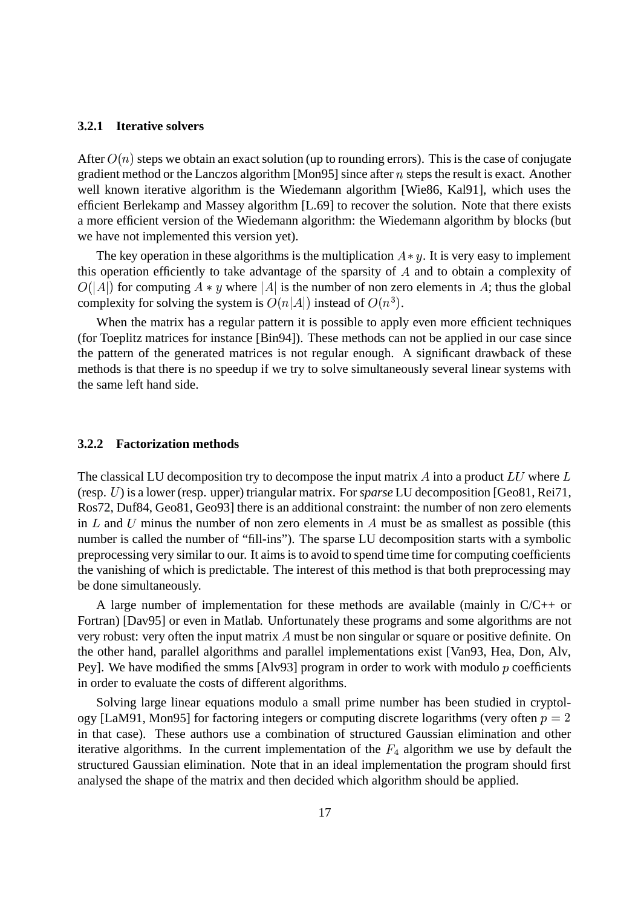#### **3.2.1 Iterative solvers**

After  $O(n)$  steps we obtain an exact solution (up to rounding errors). This is the case of conjugate gradient method or the Lanczos algorithm [Mon95] since after  $n$  steps the result is exact. Another well known iterative algorithm is the Wiedemann algorithm [Wie86, Kal91], which uses the efficient Berlekamp and Massey algorithm [L.69] to recover the solution. Note that there exists a more efficient version of the Wiedemann algorithm: the Wiedemann algorithm by blocks (but we have not implemented this version yet).

The key operation in these algorithms is the multiplication  $A * y$ . It is very easy to implement this operation efficiently to take advantage of the sparsity of  $A$  and to obtain a complexity of  $O(|A|)$  for computing  $A * y$  where |A| is the number of non zero elements in A; thus the global complexity for solving the system is  $O(n|A|)$  instead of  $O(n^3)$ .

When the matrix has a regular pattern it is possible to apply even more efficient techniques (for Toeplitz matrices for instance [Bin94]). These methods can not be applied in our case since the pattern of the generated matrices is not regular enough. A significant drawback of these methods is that there is no speedup if we try to solve simultaneously several linear systems with the same left hand side.

#### **3.2.2 Factorization methods**

The classical LU decomposition try to decompose the input matrix  $A$  into a product  $LU$  where  $L$ (resp. U) is a lower (resp. upper) triangular matrix. For *sparse* LU decomposition [Geo81, Rei71, Ros72, Duf84, Geo81, Geo93] there is an additional constraint: the number of non zero elements in  $L$  and  $U$  minus the number of non zero elements in  $A$  must be as smallest as possible (this number is called the number of "fill-ins"). The sparse LU decomposition starts with a symbolic preprocessing very similar to our. It aims is to avoid to spend time time for computing coefficients the vanishing of which is predictable. The interest of this method is that both preprocessing may be done simultaneously.

A large number of implementation for these methods are available (mainly in C/C++ or Fortran) [Dav95] or even in Matlab. Unfortunately these programs and some algorithms are not very robust: very often the input matrix  $A$  must be non singular or square or positive definite. On the other hand, parallel algorithms and parallel implementations exist [Van93, Hea, Don, Alv, Pey]. We have modified the smms [Alv93] program in order to work with modulo  $p$  coefficients in order to evaluate the costs of different algorithms.

Solving large linear equations modulo a small prime number has been studied in cryptology [LaM91, Mon95] for factoring integers or computing discrete logarithms (very often  $p = 2$ in that case). These authors use a combination of structured Gaussian elimination and other iterative algorithms. In the current implementation of the  $F_4$  algorithm we use by default the structured Gaussian elimination. Note that in an ideal implementation the program should first analysed the shape of the matrix and then decided which algorithm should be applied.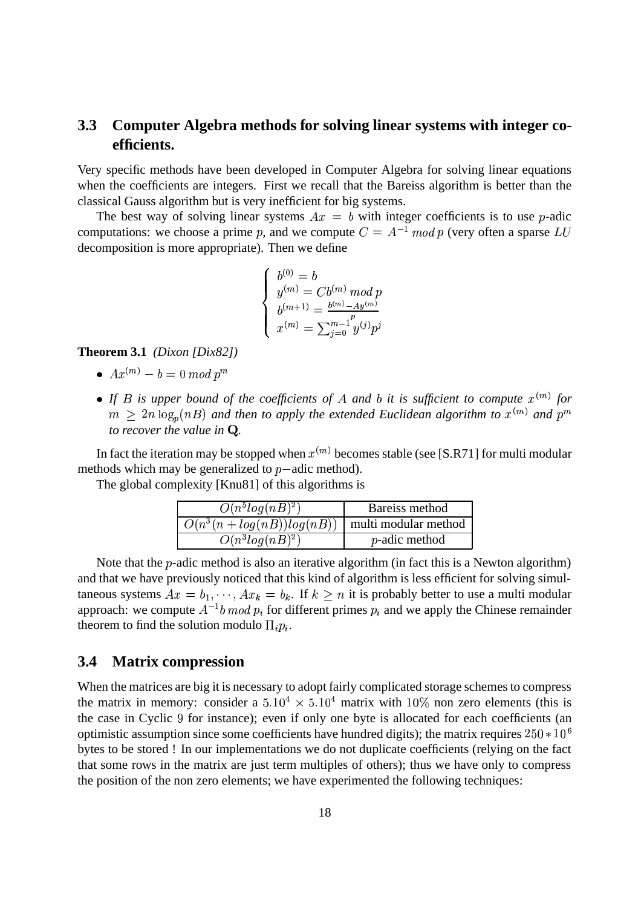## **3.3 Computer Algebra methods for solving linear systems with integer coefficients.**

Very specific methods have been developed in Computer Algebra for solving linear equations when the coefficients are integers. First we recall that the Bareiss algorithm is better than the classical Gauss algorithm but is very inefficient for big systems.

The best way of solving linear systems  $Ax = b$  with integer coefficients is to use p-adic computations: we choose a prime p, and we compute  $C = A^{-1} \mod p$  (ver  $\frac{1}{2}$  mod p (very often a sparse  $LU$ decomposition is more appropriate). Then we define

$$
\begin{cases}\nb^{(0)} = b \\
y^{(m)} = Cb^{(m)} \bmod p \\
b^{(m+1)} = \frac{b^{(m)} - Ay^{(m)}}{p} \\
x^{(m)} = \sum_{j=0}^{m-1} y^{(j)} p^j\n\end{cases}
$$

**Theorem 3.1** *(Dixon [Dix82])*

- $A x^{(m)} b = 0 \bmod p^m$
- If *B* is upper bound of the coefficients of *A* and *b* it is sufficient to compute  $x^{(m)}$  for  $m \geq 2n \log_p(nB)$  and then to apply the extended Euclidean algorithm to  $x^{(m)}$  and  $p^m$ *to recover the value in Q.*

In fact the iteration may be stopped when  $x^{(m)}$  becomes stable (see [S.R71] for multi modular methods which may be generalized to  $p$ -adic method).

The global complexity [Knu81] of this algorithms is

| $O(n^5log(nB)^2)$                                   | Bareiss method        |
|-----------------------------------------------------|-----------------------|
| $O(n^3(n + log(nB))log(nB))$   multi modular method |                       |
| $O(n^3log(nB)^2)$                                   | <i>p</i> -adic method |

Note that the  $p$ -adic method is also an iterative algorithm (in fact this is a Newton algorithm) and that we have previously noticed that this kind of algorithm is less efficient for solving simultaneous systems  $Ax = b_1, \dots, Ax_k = b_k$ . If  $k \geq n$  it is probably better to use a multi modular approach: we compute  $A^{-1}b$  mod  $p_i$  fo b mod  $p_i$  for different primes  $p_i$  and we apply the Chinese remainder theorem to find the solution modulo  $\Pi_i p_i$ .

#### **3.4 Matrix compression**

When the matrices are big it is necessary to adopt fairly complicated storage schemes to compress the matrix in memory: consider a  $5.10^4 \times 5.10^4$  matrix with 10% non zero elements (this is the case in Cyclic 9 for instance); even if only one byte is allocated for each coefficients (an optimistic assumption since some coefficients have hundred digits); the matrix requires  $250*10^6$ bytes to be stored ! In our implementations we do not duplicate coefficients (relying on the fact that some rows in the matrix are just term multiples of others); thus we have only to compress the position of the non zero elements; we have experimented the following techniques: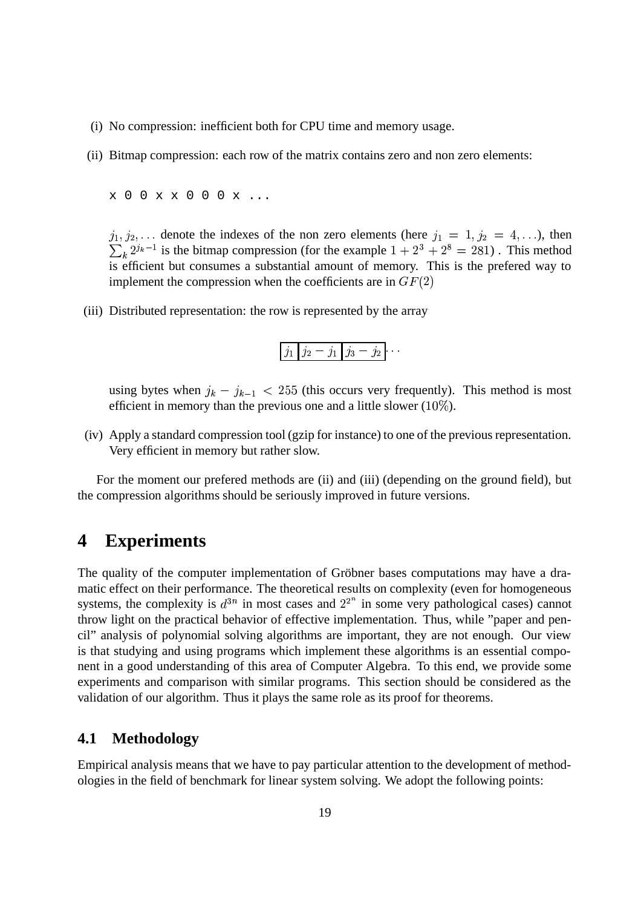- (i) No compression: inefficient both for CPU time and memory usage.
- (ii) Bitmap compression: each row of the matrix contains zero and non zero elements:
	- x 0 0 x x 0 0 0 x ...

 $j_1, j_2, \ldots$  denote the indexes of the non zero elements (here  $j_1 = 1, j_2 = 4, \ldots$ ), then  $\sum_k 2^{j_k-1}$  is the bitmap compression (for the example  $1 + 2^3 + 2^8 = 281$ ). This method  $\cdots$ <sup>1</sup> is the bitmap compression (for the example  $1 + 2^3 + 2^8 = 281$ ). This method is efficient but consumes a substantial amount of memory. This is the prefered way to implement the compression when the coefficients are in  $GF(2)$ 

(iii) Distributed representation: the row is represented by the array

$$
j_1|j_2-j_1|j_3-j_2|\cdots
$$

using bytes when  $j_k - j_{k-1} < 255$  (this occurs very frequently). This method is most efficient in memory than the previous one and a little slower  $(10\%)$ .

(iv) Apply a standard compression tool (gzip for instance) to one of the previous representation. Very efficient in memory but rather slow.

For the moment our prefered methods are (ii) and (iii) (depending on the ground field), but the compression algorithms should be seriously improved in future versions.

# **4 Experiments**

The quality of the computer implementation of Gröbner bases computations may have a dramatic effect on their performance. The theoretical results on complexity (even for homogeneous systems, the complexity is  $d^{3n}$  in most cases and  $2^{2^n}$  in some very pathological cases) cannot throw light on the practical behavior of effective implementation. Thus, while "paper and pencil" analysis of polynomial solving algorithms are important, they are not enough. Our view is that studying and using programs which implement these algorithms is an essential component in a good understanding of this area of Computer Algebra. To this end, we provide some experiments and comparison with similar programs. This section should be considered as the validation of our algorithm. Thus it plays the same role as its proof for theorems.

### **4.1 Methodology**

Empirical analysis means that we have to pay particular attention to the development of methodologies in the field of benchmark for linear system solving. We adopt the following points: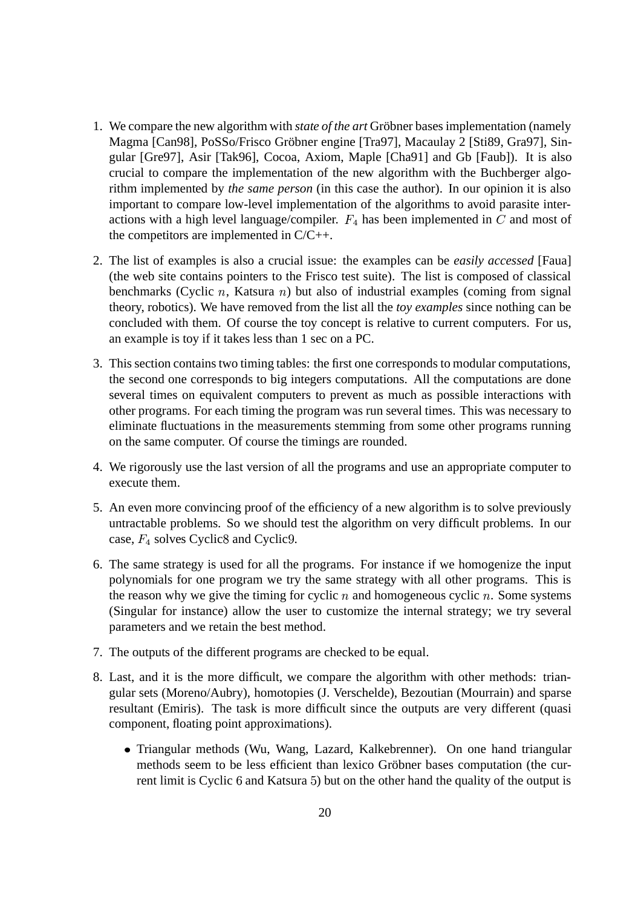- 1. We compare the new algorithm with *state of the art* Gröbner bases implementation (namely Magma [Can98], PoSSo/Frisco Gröbner engine [Tra97], Macaulay 2 [Sti89, Gra97], Singular [Gre97], Asir [Tak96], Cocoa, Axiom, Maple [Cha91] and Gb [Faub]). It is also crucial to compare the implementation of the new algorithm with the Buchberger algorithm implemented by *the same person* (in this case the author). In our opinion it is also important to compare low-level implementation of the algorithms to avoid parasite interactions with a high level language/compiler.  $F_4$  has been implemented in  $C$  and most of the competitors are implemented in C/C++.
- 2. The list of examples is also a crucial issue: the examples can be *easily accessed* [Faua] (the web site contains pointers to the Frisco test suite). The list is composed of classical benchmarks (Cyclic  $n$ , Katsura  $n$ ) but also of industrial examples (coming from signal theory, robotics). We have removed from the list all the *toy examples* since nothing can be concluded with them. Of course the toy concept is relative to current computers. For us, an example is toy if it takes less than 1 sec on a PC.
- 3. This section contains two timing tables: the first one corresponds to modular computations, the second one corresponds to big integers computations. All the computations are done several times on equivalent computers to prevent as much as possible interactions with other programs. For each timing the program was run several times. This was necessary to eliminate fluctuations in the measurements stemming from some other programs running on the same computer. Of course the timings are rounded.
- 4. We rigorously use the last version of all the programs and use an appropriate computer to execute them.
- 5. An even more convincing proof of the efficiency of a new algorithm is to solve previously untractable problems. So we should test the algorithm on very difficult problems. In our case,  $F_4$  solves Cyclic8 and Cyclic9.
- 6. The same strategy is used for all the programs. For instance if we homogenize the input polynomials for one program we try the same strategy with all other programs. This is the reason why we give the timing for cyclic  $n$  and homogeneous cyclic  $n$ . Some systems (Singular for instance) allow the user to customize the internal strategy; we try several parameters and we retain the best method.
- 7. The outputs of the different programs are checked to be equal.
- 8. Last, and it is the more difficult, we compare the algorithm with other methods: triangular sets (Moreno/Aubry), homotopies (J. Verschelde), Bezoutian (Mourrain) and sparse resultant (Emiris). The task is more difficult since the outputs are very different (quasi component, floating point approximations).
	- Triangular methods (Wu, Wang, Lazard, Kalkebrenner). On one hand triangular methods seem to be less efficient than lexico Gröbner bases computation (the current limit is Cyclic 6 and Katsura 5) but on the other hand the quality of the output is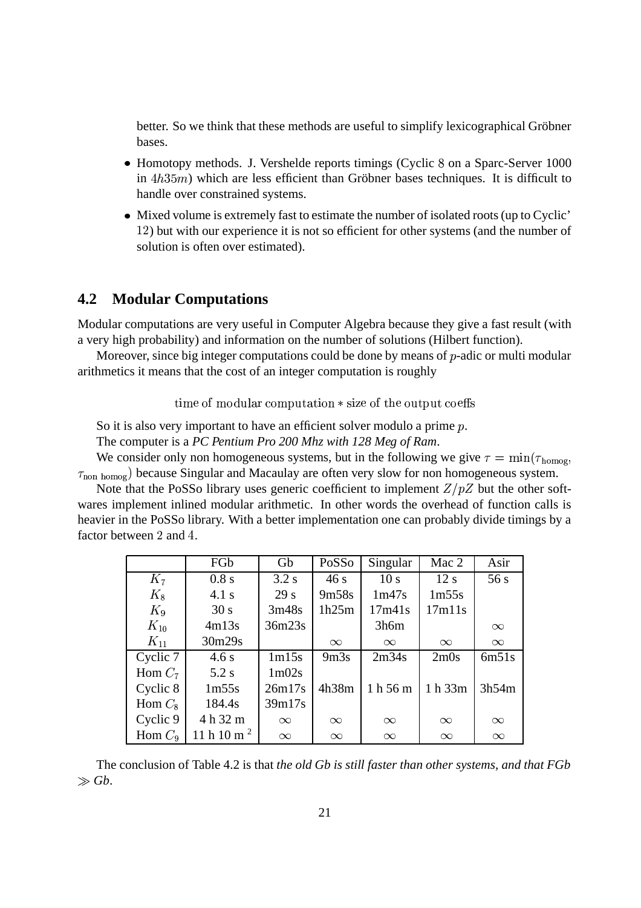better. So we think that these methods are useful to simplify lexicographical Gröbner bases.

- Homotopy methods. J. Vershelde reports timings (Cyclic 8 on a Sparc-Server 1000  $\lim_{n \to \infty}$  which are less efficient than Gröbner bases techniques. It is difficult to handle over constrained systems.
- Mixed volume is extremely fast to estimate the number of isolated roots (up to Cyclic' 12) but with our experience it is not so efficient for other systems (and the number of solution is often over estimated).

### **4.2 Modular Computations**

Modular computations are very useful in Computer Algebra because they give a fast result (with a very high probability) and information on the number of solutions (Hilbert function).

Moreover, since big integer computations could be done by means of  $p$ -adic or multi modular arithmetics it means that the cost of an integer computation is roughly

 $\mu$  time of modular computation  $*$  size of the output coeffs

So it is also very important to have an efficient solver modulo a prime p.

The computer is a *PC Pentium Pro 200 Mhz with 128 Meg of Ram*.

We consider only non homogeneous systems, but in the following we give  $\tau = \min(\tau_{\text{homog}})$  $\tau_{\text{non homog}}$ ) because Singular and Macaulay are often very slow for non homogeneous system.

Note that the PoSSo library uses generic coefficient to implement  $Z/pZ$  but the other softwares implement inlined modular arithmetic. In other words the overhead of function calls is heavier in the PoSSo library. With a better implementation one can probably divide timings by a factor between  $2$  and  $4$ .

|           | FGb                   | Gb                             | PoSSo            | Singular        | Mac 2    | Asir     |
|-----------|-----------------------|--------------------------------|------------------|-----------------|----------|----------|
| $K_7$     | 0.8 s                 | 3.2 s                          | 46s              | 10 <sub>s</sub> | 12 s     | 56s      |
| $K_8$     | 4.1 s                 | 29 <sub>s</sub>                | 9m58s            | 1m47s           | 1m55s    |          |
| $K_9$     | 30 s                  | 3m48s                          | 1h25m            | 17m41s          | 17m11s   |          |
| $K_{10}$  | 4m13s                 | 36m23s                         |                  | 3h6m            |          | $\infty$ |
| $K_{11}$  | 30m29s                |                                | $\infty$         | $\infty$        | $\infty$ | $\infty$ |
| Cyclic 7  | 4.6 s                 | 1m15s                          | 9 <sub>m3s</sub> | 2m34s           | 2m0s     | 6m51s    |
| Hom $C_7$ | 5.2 s                 | 1 <sub>m</sub> 02 <sub>s</sub> |                  |                 |          |          |
| Cyclic 8  | 1m55s                 | 26m17s                         | 4h38m            | 1h56m           | 1 h 33m  | 3h54m    |
| Hom $C_8$ | 184.4s                | 39m17s                         |                  |                 |          |          |
| Cyclic 9  | 4 h 32 m              | $\infty$                       | $\infty$         | $\infty$        | $\infty$ | $\infty$ |
| Hom $C_9$ | 11 h $10 \text{ m}^2$ | $\infty$                       | $\infty$         | $\infty$        | $\infty$ | $\infty$ |

The conclusion of Table 4.2 is that *the old Gb is still faster than other systems, and that FGb*  $\gg$  *Gb*.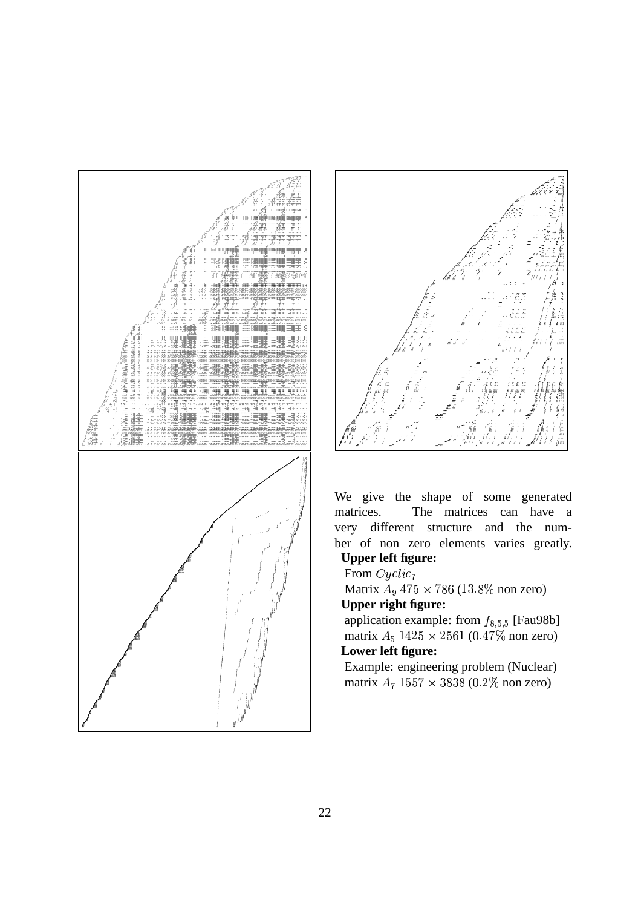



We give the shape of some generated matrices. The matrices can have a very different structure and the number of non zero elements varies greatly.

## **Upper left figure:**

From  $Cyclic_7$ Matrix  $A_9$  475 × 786 (13.8% non zero) **Upper right figure:** 

application example: from  $f_{8,5,5}$  [Fau98b] matrix  $A_5$  1425 × 2561 (0.47% non zero) Lower left figure:

Example: engineering problem (Nuclear) matrix  $A_7 1557 \times 3838 (0.2\% \text{ non zero})$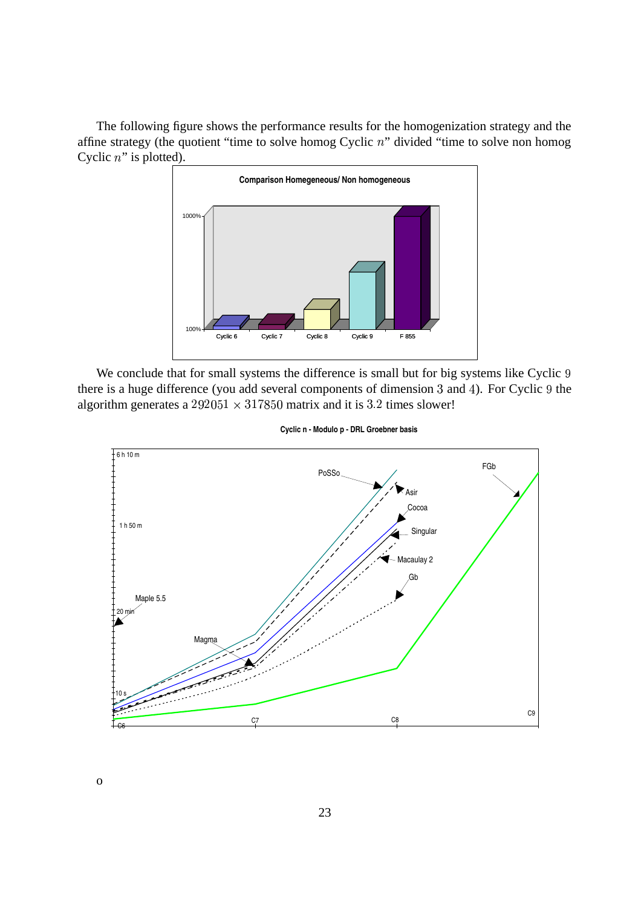The following figure shows the performance results for the homogenization strategy and the affine strategy (the quotient "time to solve homog Cyclic  $n$ " divided "time to solve non homog Cyclic  $n$ " is plotted).



We conclude that for small systems the difference is small but for big systems like Cyclic 9 there is a huge difference (you add several components of dimension  $3$  and  $4$ ). For Cyclic  $9$  the algorithm generates a  $292051 \times 317850$  matrix and it is 3.2 times slower!



**Cyclic n - Modulo p - DRL Groebner basis**

o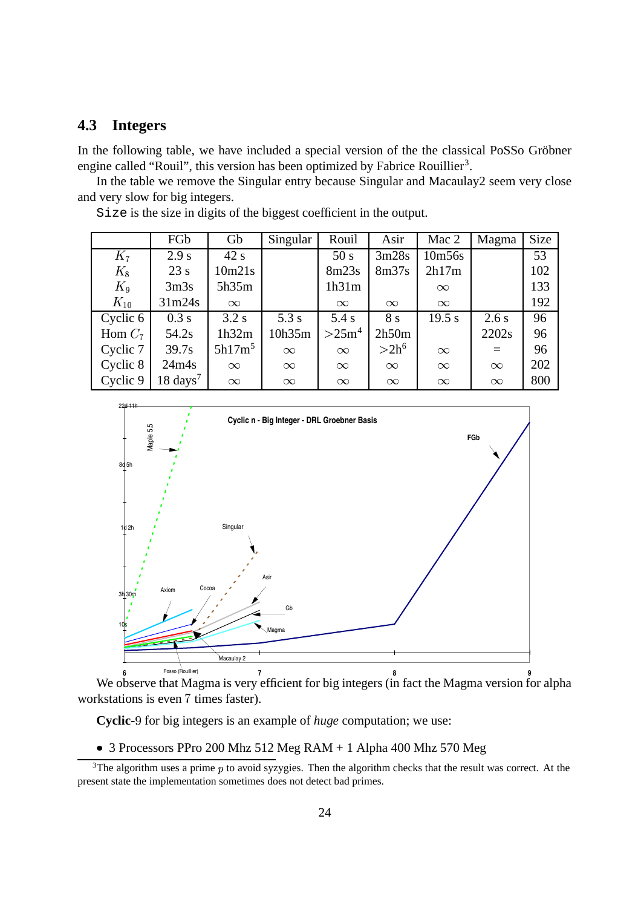### **4.3 Integers**

In the following table, we have included a special version of the the classical PoSSo Gröbner engine called "Rouil", this version has been optimized by Fabrice Rouillier<sup>3</sup>.

In the table we remove the Singular entry because Singular and Macaulay2 seem very close and very slow for big integers.

|           | FGb                 | Gb        | Singular | Rouil             | Asir     | Mac 2    | Magma    | <b>Size</b> |
|-----------|---------------------|-----------|----------|-------------------|----------|----------|----------|-------------|
| $K_7$     | 2.9 s               | 42 s      |          | 50 s              | 3m28s    | 10m56s   |          | 53          |
| $K_8$     | 23 s                | 10m21s    |          | 8m23s             | 8m37s    | 2h17m    |          | 102         |
| $K_9$     | 3 <sub>m3s</sub>    | 5h35m     |          | 1h31m             |          | $\infty$ |          | 133         |
| $K_{10}$  | 31m24s              | $\infty$  |          | $\infty$          | $\infty$ | $\infty$ |          | 192         |
| Cyclic 6  | 0.3 s               | 3.2 s     | 5.3 s    | 5.4 s             | 8 s      | 19.5 s   | 2.6s     | 96          |
| Hom $C_7$ | 54.2s               | 1h32m     | 10h35m   | >25m <sup>4</sup> | 2h50m    |          | 2202s    | 96          |
| Cyclic 7  | 39.7s               | $5h17m^5$ | $\infty$ | $\infty$          | $>2h^6$  | $\infty$ | $=$      | 96          |
| Cyclic 8  | 24m4s               | $\infty$  | $\infty$ | $\infty$          | $\infty$ | $\infty$ | $\infty$ | 202         |
| Cyclic 9  | $18 \text{ days}^7$ | $\infty$  | $\infty$ | $\infty$          | $\infty$ | $\infty$ | $\infty$ | 800         |

Size is the size in digits of the biggest coefficient in the output.



**6 7 8 9** Posso (Rouillier) We observe that Magma is very efficient for big integers (in fact the Magma version for alpha workstations is even 7 times faster).

**Cyclic-**9 for big integers is an example of *huge* computation; we use:

3 Processors PPro 200 Mhz 512 Meg RAM + 1 Alpha 400 Mhz 570 Meg

 $3$ The algorithm uses a prime  $p$  to avoid syzygies. Then the algorithm checks that the result was correct. At the present state the implementation sometimes does not detect bad primes.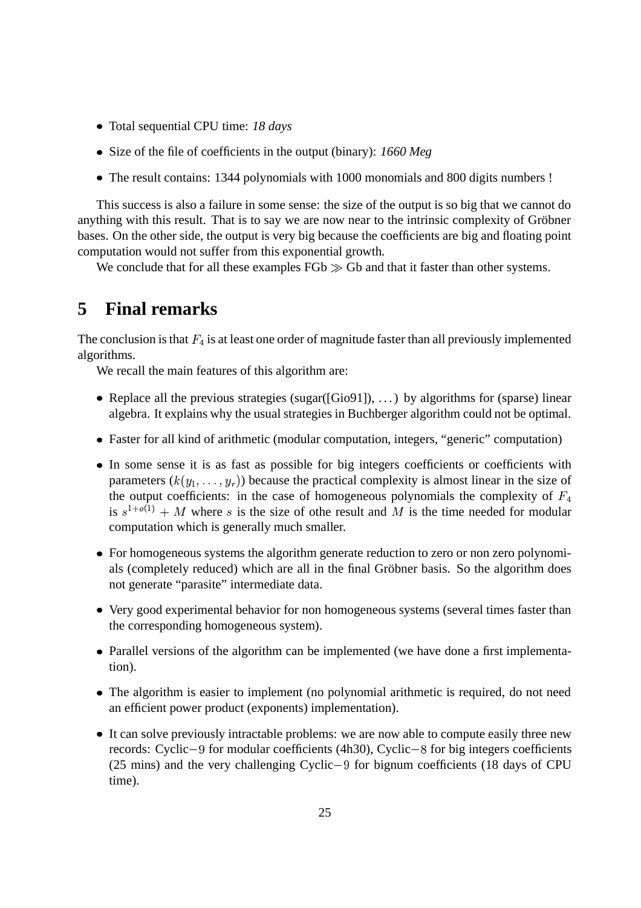- Total sequential CPU time: *18 days*
- Size of the file of coefficients in the output (binary): *1660 Meg*
- The result contains: 1344 polynomials with 1000 monomials and 800 digits numbers !

This success is also a failure in some sense: the size of the output is so big that we cannot do anything with this result. That is to say we are now near to the intrinsic complexity of Gröbner bases. On the other side, the output is very big because the coefficients are big and floating point computation would not suffer from this exponential growth.

We conclude that for all these examples  $FGb \gg Gb$  and that it faster than other systems.

# **5 Final remarks**

The conclusion is that  $F_4$  is at least one order of magnitude faster than all previously implemented algorithms.

We recall the main features of this algorithm are:

- Replace all the previous strategies (sugar([Gio91]), ...) by algorithms for (sparse) linear algebra. It explains why the usual strategies in Buchberger algorithm could not be optimal.
- Faster for all kind of arithmetic (modular computation, integers, "generic" computation)
- In some sense it is as fast as possible for big integers coefficients or coefficients with parameters  $(k(y_1, \ldots, y_r))$  because the practical complexity is almost linear in the size of the output coefficients: in the case of homogeneous polynomials the complexity of  $F_4$ is  $s^{1+o(1)}$  + M where s is the size of othe result and M is the time needed for modular computation which is generally much smaller.
- For homogeneous systems the algorithm generate reduction to zero or non zero polynomials (completely reduced) which are all in the final Gröbner basis. So the algorithm does not generate "parasite" intermediate data.
- Very good experimental behavior for non homogeneous systems (several times faster than the corresponding homogeneous system).
- Parallel versions of the algorithm can be implemented (we have done a first implementation).
- The algorithm is easier to implement (no polynomial arithmetic is required, do not need an efficient power product (exponents) implementation).
- It can solve previously intractable problems: we are now able to compute easily three new records: Cyclic-9 for modular coefficients (4h30), Cyclic-8 for big integers coefficients  $(25 \text{ mins})$  and the very challenging Cyclic -9 for bignum coefficients (18 days of CPU) time).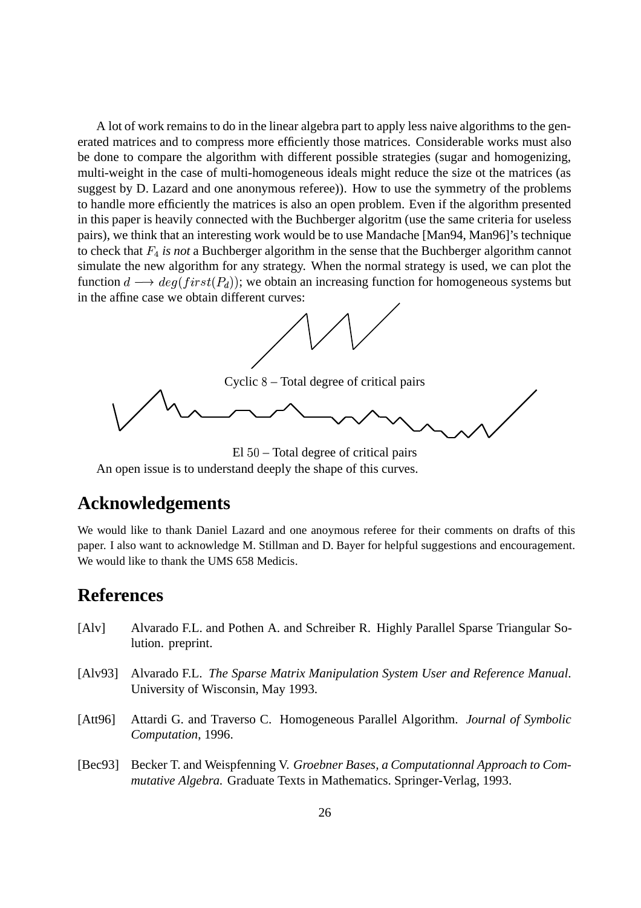A lot of work remains to do in the linear algebra part to apply less naive algorithms to the generated matrices and to compress more efficiently those matrices. Considerable works must also be done to compare the algorithm with different possible strategies (sugar and homogenizing, multi-weight in the case of multi-homogeneous ideals might reduce the size ot the matrices (as suggest by D. Lazard and one anonymous referee)). How to use the symmetry of the problems to handle more efficiently the matrices is also an open problem. Even if the algorithm presented in this paper is heavily connected with the Buchberger algoritm (use the same criteria for useless pairs), we think that an interesting work would be to use Mandache [Man94, Man96]'s technique to check that *is not* a Buchberger algorithm in the sense that the Buchberger algorithm cannot simulate the new algorithm for any strategy. When the normal strategy is used, we can plot the function  $d \longrightarrow deg(first(P_d))$ ; we obtain an increasing function for homogeneous systems but in the affine case we obtain different curves:



 $El 50 – Total degree of critical pairs$ 

An open issue is to understand deeply the shape of this curves.

# **Acknowledgements**

We would like to thank Daniel Lazard and one anoymous referee for their comments on drafts of this paper. I also want to acknowledge M. Stillman and D. Bayer for helpful suggestions and encouragement. We would like to thank the UMS 658 Medicis.

## **References**

- [Alv] Alvarado F.L. and Pothen A. and Schreiber R. Highly Parallel Sparse Triangular Solution. preprint.
- [Alv93] Alvarado F.L. *The Sparse Matrix Manipulation System User and Reference Manual*. University of Wisconsin, May 1993.
- [Att96] Attardi G. and Traverso C. Homogeneous Parallel Algorithm. *Journal of Symbolic Computation*, 1996.
- [Bec93] Becker T. and Weispfenning V. *Groebner Bases, a Computationnal Approach to Commutative Algebra*. Graduate Texts in Mathematics. Springer-Verlag, 1993.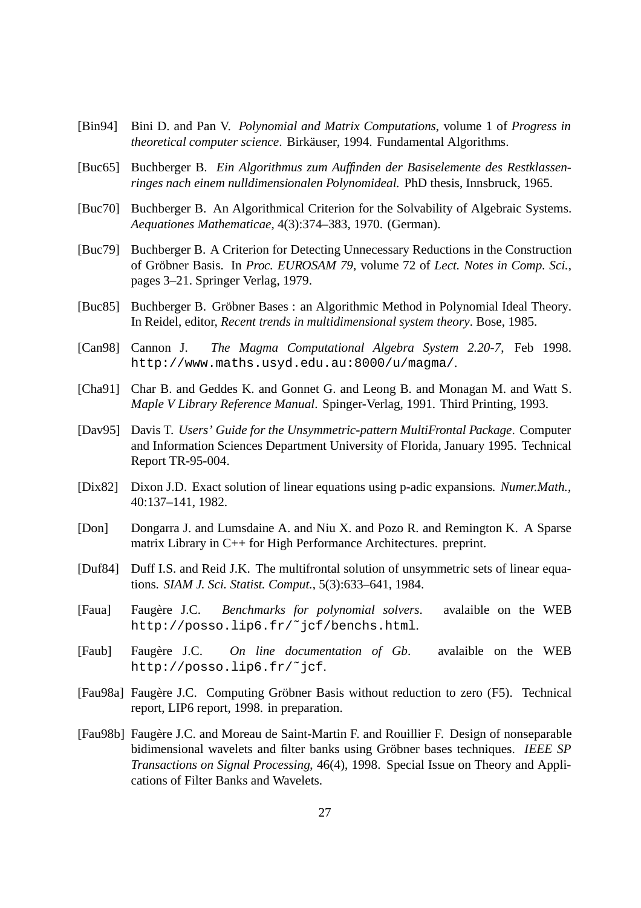- [Bin94] Bini D. and Pan V. *Polynomial and Matrix Computations*, volume 1 of *Progress in theoretical computer science.* Birkäuser, 1994. Fundamental Algorithms.
- [Buc65] Buchberger B. *Ein Algorithmus zum Auffinden der Basiselemente des Restklassenringes nach einem nulldimensionalen Polynomideal.* PhD thesis, Innsbruck, 1965.
- [Buc70] Buchberger B. An Algorithmical Criterion for the Solvability of Algebraic Systems. *Aequationes Mathematicae*, 4(3):374–383, 1970. (German).
- [Buc79] Buchberger B. A Criterion for Detecting Unnecessary Reductions in the Construction of Gröbner Basis. In *Proc. EUROSAM 79*, volume 72 of *Lect. Notes in Comp. Sci.*, pages 3–21. Springer Verlag, 1979.
- [Buc85] Buchberger B. Gröbner Bases : an Algorithmic Method in Polynomial Ideal Theory. In Reidel, editor, *Recent trends in multidimensional system theory*. Bose, 1985.
- [Can98] Cannon J. *The Magma Computational Algebra System 2.20-7*, Feb 1998. http://www.maths.usyd.edu.au:8000/u/magma/.
- [Cha91] Char B. and Geddes K. and Gonnet G. and Leong B. and Monagan M. and Watt S. *Maple V Library Reference Manual*. Spinger-Verlag, 1991. Third Printing, 1993.
- [Dav95] Davis T. *Users' Guide for the Unsymmetric-pattern MultiFrontal Package*. Computer and Information Sciences Department University of Florida, January 1995. Technical Report TR-95-004.
- [Dix82] Dixon J.D. Exact solution of linear equations using p-adic expansions. *Numer.Math.*, 40:137–141, 1982.
- [Don] Dongarra J. and Lumsdaine A. and Niu X. and Pozo R. and Remington K. A Sparse matrix Library in C++ for High Performance Architectures. preprint.
- [Duf84] Duff I.S. and Reid J.K. The multifrontal solution of unsymmetric sets of linear equations. *SIAM J. Sci. Statist. Comput.*, 5(3):633–641, 1984.
- [Faua] Faugère J.C. *Benchmarks for polynomial solvers*. avalaible on the WEB http://posso.lip6.fr/˜jcf/benchs.html.
- [Faub] Faugère J.C. On line documentation of Gb. avalaible on the WEB http://posso.lip6.fr/˜jcf.
- [Fau98a] Faugère J.C. Computing Gröbner Basis without reduction to zero (F5). Technical report, LIP6 report, 1998. in preparation.
- [Fau98b] Faugère J.C. and Moreau de Saint-Martin F. and Rouillier F. Design of nonseparable bidimensional wavelets and filter banks using Gröbner bases techniques. *IEEE SP Transactions on Signal Processing*, 46(4), 1998. Special Issue on Theory and Applications of Filter Banks and Wavelets.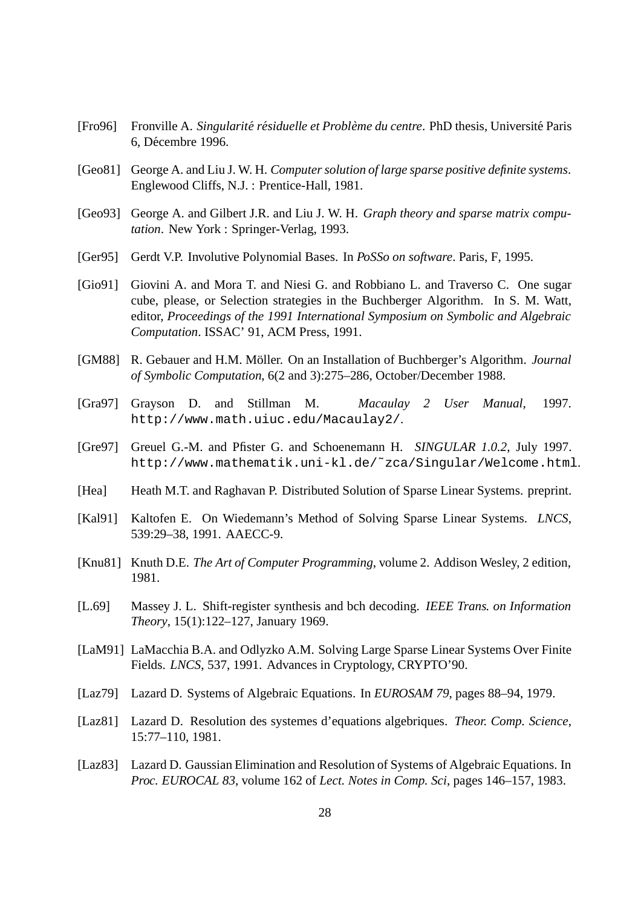- [Fro96] Fronville A. *Singularite r ´ esiduelle et Probl ´ eme du centre `* . PhD thesis, Universit´e Paris 6, Décembre 1996.
- [Geo81] George A. and Liu J. W. H. *Computer solution of large sparse positive definite systems*. Englewood Cliffs, N.J. : Prentice-Hall, 1981.
- [Geo93] George A. and Gilbert J.R. and Liu J. W. H. *Graph theory and sparse matrix computation*. New York : Springer-Verlag, 1993.
- [Ger95] Gerdt V.P. Involutive Polynomial Bases. In *PoSSo on software*. Paris, F, 1995.
- [Gio91] Giovini A. and Mora T. and Niesi G. and Robbiano L. and Traverso C. One sugar cube, please, or Selection strategies in the Buchberger Algorithm. In S. M. Watt, editor, *Proceedings of the 1991 International Symposium on Symbolic and Algebraic Computation*. ISSAC' 91, ACM Press, 1991.
- [GM88] R. Gebauer and H.M. Möller. On an Installation of Buchberger's Algorithm. *Journal of Symbolic Computation*, 6(2 and 3):275–286, October/December 1988.
- [Gra97] Grayson D. and Stillman M. *Macaulay 2 User Manual*, 1997. http://www.math.uiuc.edu/Macaulay2/.
- [Gre97] Greuel G.-M. and Pfister G. and Schoenemann H. *SINGULAR 1.0.2*, July 1997. http://www.mathematik.uni-kl.de/˜zca/Singular/Welcome.html.
- [Hea] Heath M.T. and Raghavan P. Distributed Solution of Sparse Linear Systems. preprint.
- [Kal91] Kaltofen E. On Wiedemann's Method of Solving Sparse Linear Systems. *LNCS*, 539:29–38, 1991. AAECC-9.
- [Knu81] Knuth D.E. *The Art of Computer Programming*, volume 2. Addison Wesley, 2 edition, 1981.
- [L.69] Massey J. L. Shift-register synthesis and bch decoding. *IEEE Trans. on Information Theory*, 15(1):122–127, January 1969.
- [LaM91] LaMacchia B.A. and Odlyzko A.M. Solving Large Sparse Linear Systems Over Finite Fields. *LNCS*, 537, 1991. Advances in Cryptology, CRYPTO'90.
- [Laz79] Lazard D. Systems of Algebraic Equations. In *EUROSAM 79*, pages 88–94, 1979.
- [Laz81] Lazard D. Resolution des systemes d'equations algebriques. *Theor. Comp. Science*, 15:77–110, 1981.
- [Laz83] Lazard D. Gaussian Elimination and Resolution of Systems of Algebraic Equations. In *Proc. EUROCAL 83*, volume 162 of *Lect. Notes in Comp. Sci*, pages 146–157, 1983.